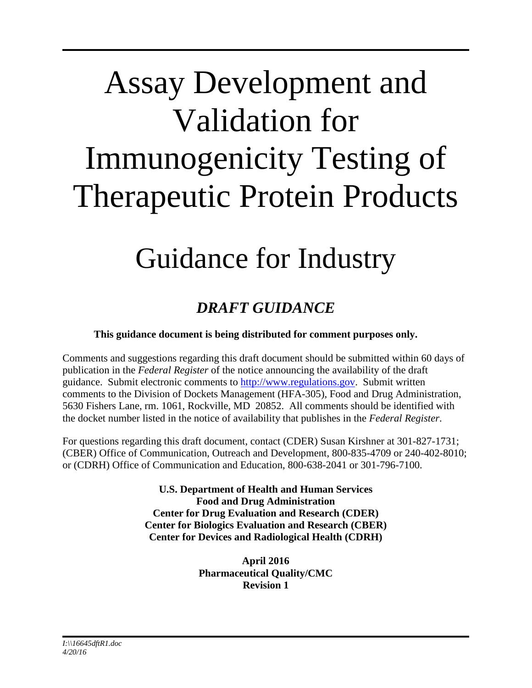# Assay Development and Validation for Immunogenicity Testing of Therapeutic Protein Products

# Guidance for Industry

## *DRAFT GUIDANCE*

**This guidance document is being distributed for comment purposes only.**

Comments and suggestions regarding this draft document should be submitted within 60 days of publication in the *Federal Register* of the notice announcing the availability of the draft guidance. Submit electronic comments to [http://www.regulations.gov.](http://www.regulations.gov/) Submit written comments to the Division of Dockets Management (HFA-305), Food and Drug Administration, 5630 Fishers Lane, rm. 1061, Rockville, MD 20852. All comments should be identified with the docket number listed in the notice of availability that publishes in the *Federal Register*.

For questions regarding this draft document, contact (CDER) Susan Kirshner at 301-827-1731; (CBER) Office of Communication, Outreach and Development, 800-835-4709 or 240-402-8010; or (CDRH) Office of Communication and Education, 800-638-2041 or 301-796-7100.

> **U.S. Department of Health and Human Services Food and Drug Administration Center for Drug Evaluation and Research (CDER) Center for Biologics Evaluation and Research (CBER) Center for Devices and Radiological Health (CDRH)**

> > **April 2016 Pharmaceutical Quality/CMC Revision 1**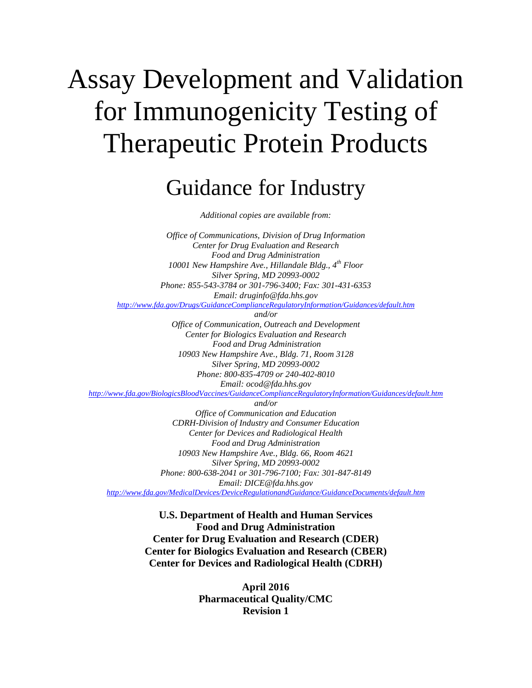# Assay Development and Validation for Immunogenicity Testing of Therapeutic Protein Products

## Guidance for Industry

*Additional copies are available from:*

*Office of Communications, Division of Drug Information Center for Drug Evaluation and Research Food and Drug Administration 10001 New Hampshire Ave., Hillandale Bldg., 4th Floor Silver Spring, MD 20993-0002 Phone: 855-543-3784 or 301-796-3400; Fax: 301-431-6353 Email: druginfo@fda.hhs.gov*

*<http://www.fda.gov/Drugs/GuidanceComplianceRegulatoryInformation/Guidances/default.htm>*

*and/or*

*Office of Communication, Outreach and Development Center for Biologics Evaluation and Research Food and Drug Administration 10903 New Hampshire Ave., Bldg. 71, Room 3128 Silver Spring, MD 20993-0002 Phone: 800-835-4709 or 240-402-8010 Email: ocod@fda.hhs.gov*

*<http://www.fda.gov/BiologicsBloodVaccines/GuidanceComplianceRegulatoryInformation/Guidances/default.htm>* 

*and/or*

*Office of Communication and Education CDRH-Division of Industry and Consumer Education Center for Devices and Radiological Health Food and Drug Administration 10903 New Hampshire Ave., Bldg. 66, Room 4621 Silver Spring, MD 20993-0002 Phone: 800-638-2041 or 301-796-7100; Fax: 301-847-8149 Email: DICE@fda.hhs.gov*

*<http://www.fda.gov/MedicalDevices/DeviceRegulationandGuidance/GuidanceDocuments/default.htm>*

**U.S. Department of Health and Human Services Food and Drug Administration Center for Drug Evaluation and Research (CDER) Center for Biologics Evaluation and Research (CBER) Center for Devices and Radiological Health (CDRH)**

> **April 2016 Pharmaceutical Quality/CMC Revision 1**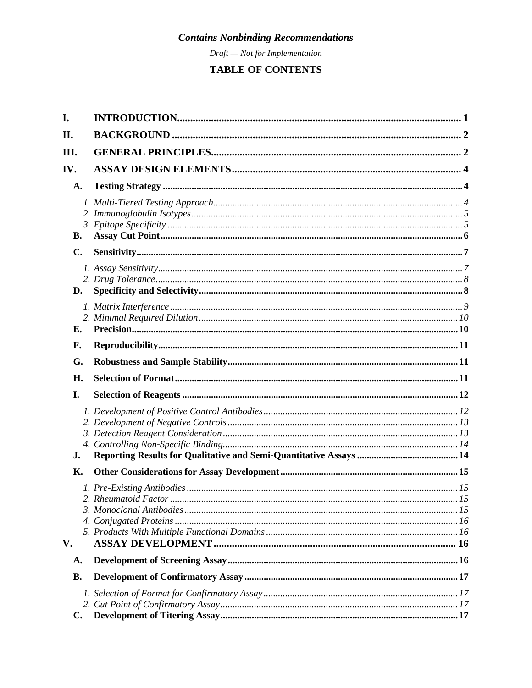Draft - Not for Implementation

## **TABLE OF CONTENTS**

| I.             |                            |  |
|----------------|----------------------------|--|
| II.            |                            |  |
| Ш.             |                            |  |
| IV.            |                            |  |
| A.             |                            |  |
| <b>B.</b>      |                            |  |
| $\mathbf{C}$ . |                            |  |
| D.             |                            |  |
| Е.             |                            |  |
| F.             |                            |  |
| G.             |                            |  |
| Н.             |                            |  |
| I.             |                            |  |
| J.             |                            |  |
| Κ.             |                            |  |
| V.             | 2. Rheumatoid Factor.<br>. |  |
| A.             |                            |  |
| <b>B.</b>      |                            |  |
| C.             |                            |  |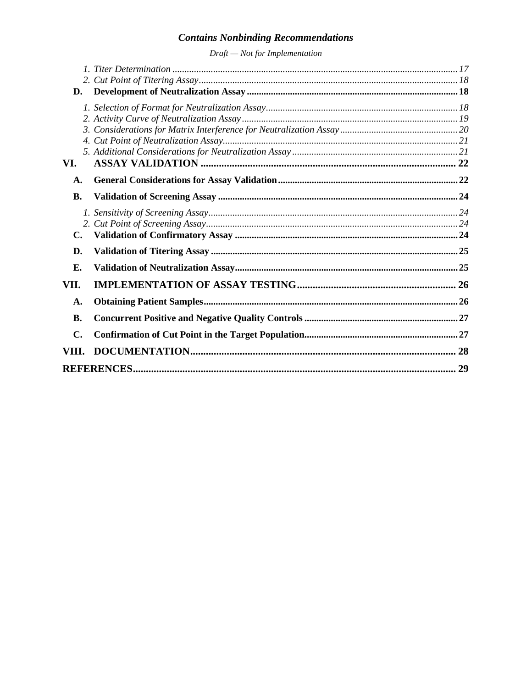$Draff - Not for Implementation$ 

| D.             |    |
|----------------|----|
|                |    |
|                |    |
|                |    |
|                |    |
| VI.            |    |
| A.             |    |
| <b>B.</b>      |    |
| $\mathbf{C}$ . |    |
| D.             |    |
| E.             |    |
| VII.           |    |
| A.             |    |
| <b>B.</b>      |    |
| $\mathbf{C}$ . |    |
| VIII.          | 28 |
|                | 29 |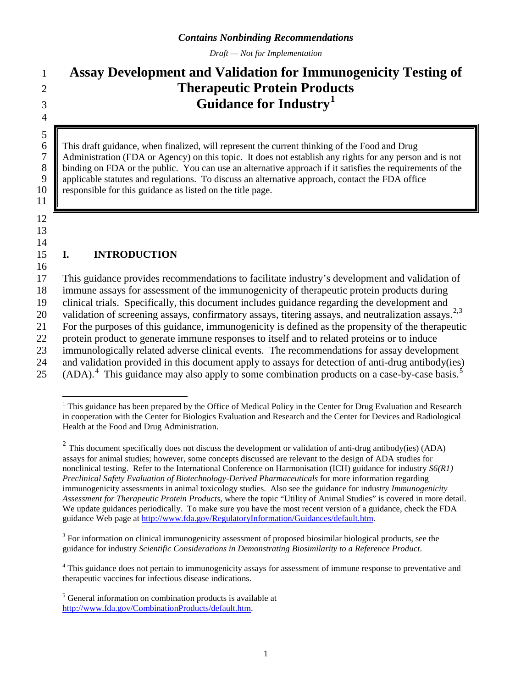*Draft — Not for Implementation*

## 1 **Assay Development and Validation for Immunogenicity Testing of**  2 **Therapeutic Protein Products Guidance for Industry[1](#page-4-0)** <sup>3</sup> 4

6 This draft guidance, when finalized, will represent the current thinking of the Food and Drug Administration (FDA or Agency) on this topic. It does not establish any rights for any person 7 Administration (FDA or Agency) on this topic. It does not establish any rights for any person and is not binding on FDA or the public. You can use an alternative approach if it satisfies the requirements of the 8 binding on FDA or the public. You can use an alternative approach if it satisfies the requirements of the applicable statutes and regulations. To discuss an alternative approach, contact the FDA office 9 applicable statutes and regulations. To discuss an alternative approach, contact the FDA office 10 **r** responsible for this guidance as listed on the title page.

11 12

13 14

 $\frac{5}{6}$ 

#### 15 **I. INTRODUCTION**

16 This guidance provides recommendations to facilitate industry's development and validation of immune assays for assessment of the immunogenicity of therapeutic protein products during clinical trials. Specifically, this document includes guidance regarding the development and 20 validation of screening assays, confirmatory assays, titering assays, and neutralization assays.<sup>[2,](#page-4-1)[3](#page-4-2)</sup> For the purposes of this guidance, immunogenicity is defined as the propensity of the therapeutic protein product to generate immune responses to itself and to related proteins or to induce immunologically related adverse clinical events. The recommendations for assay development and validation provided in this document apply to assays for detection of anti-drug antibody(ies) [5](#page-4-4)  $(ADA).$ <sup>[4](#page-4-3)</sup> This guidance may also apply to some combination products on a case-by-case basis.<sup>5</sup>

<span id="page-4-2"></span><sup>3</sup> For information on clinical immunogenicity assessment of proposed biosimilar biological products, see the guidance for industry *Scientific Considerations in Demonstrating Biosimilarity to a Reference Product*.

<span id="page-4-3"></span><sup>4</sup> This guidance does not pertain to immunogenicity assays for assessment of immune response to preventative and therapeutic vaccines for infectious disease indications.

<span id="page-4-0"></span><sup>&</sup>lt;sup>1</sup> This guidance has been prepared by the Office of Medical Policy in the Center for Drug Evaluation and Research in cooperation with the Center for Biologics Evaluation and Research and the Center for Devices and Radiological Health at the Food and Drug Administration.

<span id="page-4-1"></span><sup>&</sup>lt;sup>2</sup> This document specifically does not discuss the development or validation of anti-drug antibody(ies) (ADA) assays for animal studies; however, some concepts discussed are relevant to the design of ADA studies for nonclinical testing. Refer to the International Conference on Harmonisation (ICH) guidance for industry *S6(R1) Preclinical Safety Evaluation of Biotechnology-Derived Pharmaceuticals* for more information regarding immunogenicity assessments in animal toxicology studies. Also see the guidance for industry *Immunogenicity Assessment for Therapeutic Protein Products*, where the topic "Utility of Animal Studies" is covered in more detail. We update guidances periodically. To make sure you have the most recent version of a guidance, check the FDA guidance Web page at [http://www.fda.gov/RegulatoryInformation/Guidances/default.htm.](http://www.fda.gov/RegulatoryInformation/Guidances/default.htm)

<span id="page-4-4"></span><sup>5</sup> General information on combination products is available at [http://www.fda.gov/CombinationProducts/default.htm.](http://www.fda.gov/CombinationProducts/default.htm)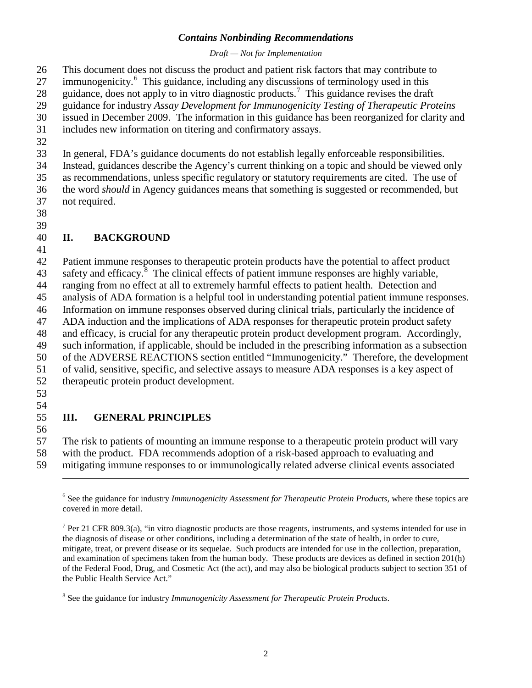#### *Draft — Not for Implementation*

This document does not discuss the product and patient risk factors that may contribute to

27 immunogenicity.<sup>[6](#page-5-0)</sup> This guidance, including any discussions of terminology used in this

28 guidance, does not apply to in vitro diagnostic products.<sup>[7](#page-5-1)</sup> This guidance revises the draft

guidance for industry *Assay Development for Immunogenicity Testing of Therapeutic Proteins*

issued in December 2009. The information in this guidance has been reorganized for clarity and

includes new information on titering and confirmatory assays.

In general, FDA's guidance documents do not establish legally enforceable responsibilities.

 Instead, guidances describe the Agency's current thinking on a topic and should be viewed only as recommendations, unless specific regulatory or statutory requirements are cited. The use of

 the word *should* in Agency guidances means that something is suggested or recommended, but not required.

 

## **II. BACKGROUND**

 Patient immune responses to therapeutic protein products have the potential to affect product 43 safety and efficacy.<sup>[8](#page-5-2)</sup> The clinical effects of patient immune responses are highly variable, ranging from no effect at all to extremely harmful effects to patient health. Detection and analysis of ADA formation is a helpful tool in understanding potential patient immune responses. Information on immune responses observed during clinical trials, particularly the incidence of ADA induction and the implications of ADA responses for therapeutic protein product safety and efficacy, is crucial for any therapeutic protein product development program. Accordingly, such information, if applicable, should be included in the prescribing information as a subsection of the ADVERSE REACTIONS section entitled "Immunogenicity." Therefore, the development of valid, sensitive, specific, and selective assays to measure ADA responses is a key aspect of therapeutic protein product development. 

## **III. GENERAL PRINCIPLES**

 $\overline{a}$ 

 The risk to patients of mounting an immune response to a therapeutic protein product will vary with the product. FDA recommends adoption of a risk-based approach to evaluating and mitigating immune responses to or immunologically related adverse clinical events associated

<span id="page-5-0"></span> See the guidance for industry *Immunogenicity Assessment for Therapeutic Protein Products*, where these topics are covered in more detail.

<span id="page-5-1"></span> Per 21 CFR 809.3(a), "in vitro diagnostic products are those reagents, instruments, and systems intended for use in the diagnosis of disease or other conditions, including a determination of the state of health, in order to cure, mitigate, treat, or prevent disease or its sequelae. Such products are intended for use in the collection, preparation, and examination of specimens taken from the human body. These products are devices as defined in section 201(h) of the Federal Food, Drug, and Cosmetic Act (the act), and may also be biological products subject to section 351 of the Public Health Service Act."

<span id="page-5-2"></span>See the guidance for industry *Immunogenicity Assessment for Therapeutic Protein Products*.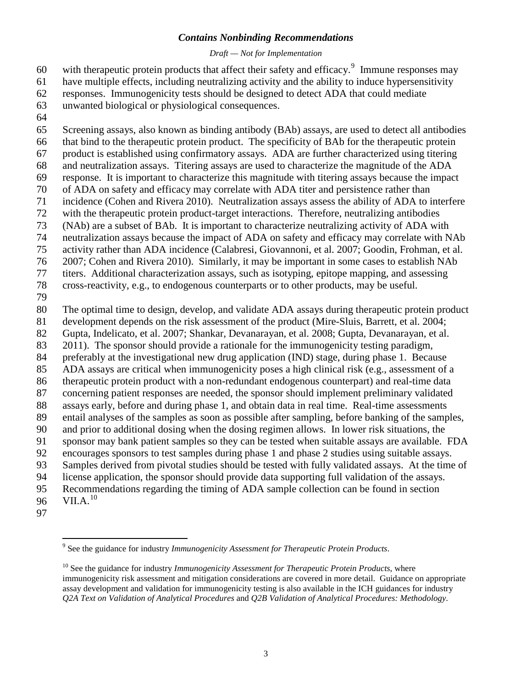#### *Draft — Not for Implementation*

- 60 with therapeutic protein products that affect their safety and efficacy.  $\frac{9}{5}$  $\frac{9}{5}$  $\frac{9}{5}$  Immune responses may
- have multiple effects, including neutralizing activity and the ability to induce hypersensitivity
- responses. Immunogenicity tests should be designed to detect ADA that could mediate
- unwanted biological or physiological consequences.
- 

 Screening assays, also known as binding antibody (BAb) assays, are used to detect all antibodies that bind to the therapeutic protein product. The specificity of BAb for the therapeutic protein product is established using confirmatory assays. ADA are further characterized using titering and neutralization assays. Titering assays are used to characterize the magnitude of the ADA response. It is important to characterize this magnitude with titering assays because the impact of ADA on safety and efficacy may correlate with ADA titer and persistence rather than incidence (Cohen and Rivera 2010). Neutralization assays assess the ability of ADA to interfere with the therapeutic protein product-target interactions. Therefore, neutralizing antibodies (NAb) are a subset of BAb. It is important to characterize neutralizing activity of ADA with neutralization assays because the impact of ADA on safety and efficacy may correlate with NAb activity rather than ADA incidence (Calabresi, Giovannoni, et al. 2007; Goodin, Frohman, et al. 2007; Cohen and Rivera 2010). Similarly, it may be important in some cases to establish NAb titers. Additional characterization assays, such as isotyping, epitope mapping, and assessing

- cross-reactivity, e.g., to endogenous counterparts or to other products, may be useful.
- 

The optimal time to design, develop, and validate ADA assays during therapeutic protein product

development depends on the risk assessment of the product (Mire-Sluis, Barrett, et al. 2004;

- Gupta, Indelicato, et al. 2007; Shankar, Devanarayan, et al. 2008; Gupta, Devanarayan, et al.
- 2011). The sponsor should provide a rationale for the immunogenicity testing paradigm,

preferably at the investigational new drug application (IND) stage, during phase 1. Because

- ADA assays are critical when immunogenicity poses a high clinical risk (e.g., assessment of a
- therapeutic protein product with a non-redundant endogenous counterpart) and real-time data
- concerning patient responses are needed, the sponsor should implement preliminary validated

 assays early, before and during phase 1, and obtain data in real time. Real-time assessments entail analyses of the samples as soon as possible after sampling, before banking of the samples,

- and prior to additional dosing when the dosing regimen allows. In lower risk situations, the
- sponsor may bank patient samples so they can be tested when suitable assays are available. FDA
- encourages sponsors to test samples during phase 1 and phase 2 studies using suitable assays.
- Samples derived from pivotal studies should be tested with fully validated assays. At the time of
- license application, the sponsor should provide data supporting full validation of the assays.
- Recommendations regarding the timing of ADA sample collection can be found in section 96 VII.A.<sup>[10](#page-6-1)</sup>
- 
- <span id="page-6-0"></span>

See the guidance for industry *Immunogenicity Assessment for Therapeutic Protein Products*.

<span id="page-6-1"></span><sup>&</sup>lt;sup>10</sup> See the guidance for industry *Immunogenicity Assessment for Therapeutic Protein Products*, where immunogenicity risk assessment and mitigation considerations are covered in more detail. Guidance on appropriate assay development and validation for immunogenicity testing is also available in the ICH guidances for industry *Q2A Text on Validation of Analytical Procedures* and *Q2B Validation of Analytical Procedures: Methodology*.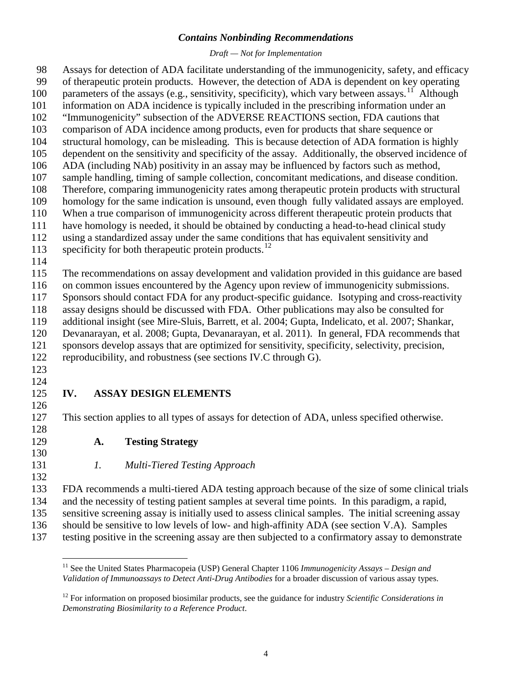#### *Draft — Not for Implementation*

 Assays for detection of ADA facilitate understanding of the immunogenicity, safety, and efficacy of therapeutic protein products. However, the detection of ADA is dependent on key operating 100 parameters of the assays (e.g., sensitivity, specificity), which vary between assays.<sup>[11](#page-7-0)</sup> Although information on ADA incidence is typically included in the prescribing information under an "Immunogenicity" subsection of the ADVERSE REACTIONS section, FDA cautions that comparison of ADA incidence among products, even for products that share sequence or structural homology, can be misleading. This is because detection of ADA formation is highly dependent on the sensitivity and specificity of the assay. Additionally, the observed incidence of ADA (including NAb) positivity in an assay may be influenced by factors such as method, sample handling, timing of sample collection, concomitant medications, and disease condition. Therefore, comparing immunogenicity rates among therapeutic protein products with structural homology for the same indication is unsound, even though fully validated assays are employed. When a true comparison of immunogenicity across different therapeutic protein products that have homology is needed, it should be obtained by conducting a head-to-head clinical study using a standardized assay under the same conditions that has equivalent sensitivity and 113 specificity for both therapeutic protein products.<sup>[12](#page-7-1)</sup> The recommendations on assay development and validation provided in this guidance are based on common issues encountered by the Agency upon review of immunogenicity submissions. Sponsors should contact FDA for any product-specific guidance. Isotyping and cross-reactivity assay designs should be discussed with FDA. Other publications may also be consulted for additional insight (see Mire-Sluis, Barrett, et al. 2004; Gupta, Indelicato, et al. 2007; Shankar, Devanarayan, et al. 2008; Gupta, Devanarayan, et al. 2011). In general, FDA recommends that sponsors develop assays that are optimized for sensitivity, specificity, selectivity, precision, reproducibility, and robustness (see sections IV.C through G). **IV. ASSAY DESIGN ELEMENTS** This section applies to all types of assays for detection of ADA, unless specified otherwise. **A. Testing Strategy** *1. Multi-Tiered Testing Approach* FDA recommends a multi-tiered ADA testing approach because of the size of some clinical trials and the necessity of testing patient samples at several time points. In this paradigm, a rapid, sensitive screening assay is initially used to assess clinical samples. The initial screening assay should be sensitive to low levels of low- and high-affinity ADA (see section V.A). Samples

<span id="page-7-0"></span>testing positive in the screening assay are then subjected to a confirmatory assay to demonstrate

 See the United States Pharmacopeia (USP) General Chapter 1106 *Immunogenicity Assays – Design and Validation of Immunoassays to Detect Anti-Drug Antibodies* for a broader discussion of various assay types.

<span id="page-7-1"></span> For information on proposed biosimilar products, see the guidance for industry *Scientific Considerations in Demonstrating Biosimilarity to a Reference Product*.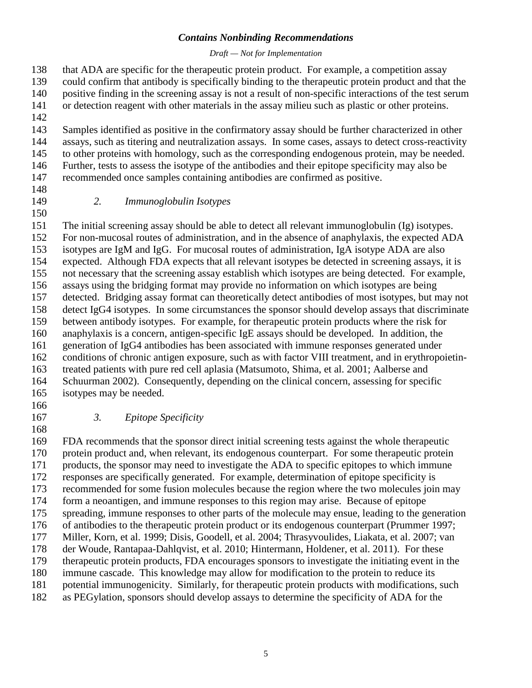#### *Draft — Not for Implementation*

 that ADA are specific for the therapeutic protein product. For example, a competition assay could confirm that antibody is specifically binding to the therapeutic protein product and that the

positive finding in the screening assay is not a result of non-specific interactions of the test serum

- or detection reagent with other materials in the assay milieu such as plastic or other proteins.
- 

 Samples identified as positive in the confirmatory assay should be further characterized in other assays, such as titering and neutralization assays. In some cases, assays to detect cross-reactivity to other proteins with homology, such as the corresponding endogenous protein, may be needed. Further, tests to assess the isotype of the antibodies and their epitope specificity may also be

recommended once samples containing antibodies are confirmed as positive.

## 

#### *2. Immunoglobulin Isotypes*

 The initial screening assay should be able to detect all relevant immunoglobulin (Ig) isotypes. For non-mucosal routes of administration, and in the absence of anaphylaxis, the expected ADA isotypes are IgM and IgG. For mucosal routes of administration, IgA isotype ADA are also expected. Although FDA expects that all relevant isotypes be detected in screening assays, it is not necessary that the screening assay establish which isotypes are being detected. For example, assays using the bridging format may provide no information on which isotypes are being detected. Bridging assay format can theoretically detect antibodies of most isotypes, but may not detect IgG4 isotypes. In some circumstances the sponsor should develop assays that discriminate between antibody isotypes. For example, for therapeutic protein products where the risk for anaphylaxis is a concern, antigen-specific IgE assays should be developed. In addition, the generation of IgG4 antibodies has been associated with immune responses generated under conditions of chronic antigen exposure, such as with factor VIII treatment, and in erythropoietin- treated patients with pure red cell aplasia (Matsumoto, Shima, et al. 2001; Aalberse and Schuurman 2002). Consequently, depending on the clinical concern, assessing for specific isotypes may be needed.

## *3. Epitope Specificity*

 FDA recommends that the sponsor direct initial screening tests against the whole therapeutic protein product and, when relevant, its endogenous counterpart. For some therapeutic protein products, the sponsor may need to investigate the ADA to specific epitopes to which immune responses are specifically generated. For example, determination of epitope specificity is recommended for some fusion molecules because the region where the two molecules join may form a neoantigen, and immune responses to this region may arise. Because of epitope spreading, immune responses to other parts of the molecule may ensue, leading to the generation of antibodies to the therapeutic protein product or its endogenous counterpart (Prummer 1997; Miller, Korn, et al. 1999; Disis, Goodell, et al. 2004; Thrasyvoulides, Liakata, et al. 2007; van der Woude, Rantapaa-Dahlqvist, et al. 2010; Hintermann, Holdener, et al. 2011). For these therapeutic protein products, FDA encourages sponsors to investigate the initiating event in the immune cascade. This knowledge may allow for modification to the protein to reduce its potential immunogenicity. Similarly, for therapeutic protein products with modifications, such as PEGylation, sponsors should develop assays to determine the specificity of ADA for the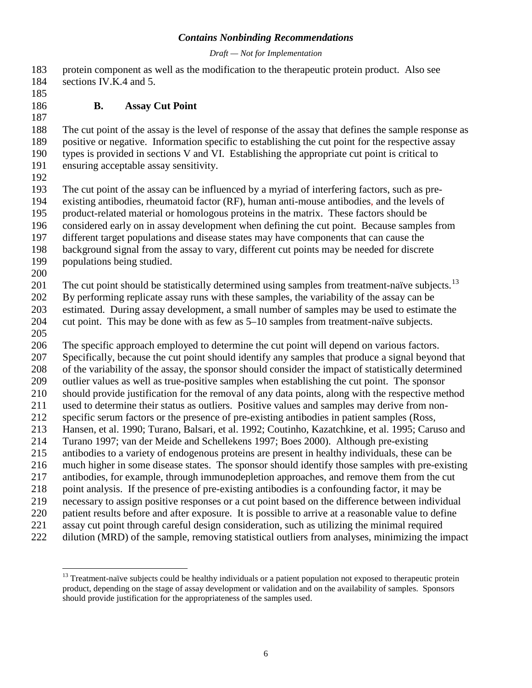*Draft — Not for Implementation*

- protein component as well as the modification to the therapeutic protein product. Also see sections IV.K.4 and 5. **B. Assay Cut Point** The cut point of the assay is the level of response of the assay that defines the sample response as positive or negative. Information specific to establishing the cut point for the respective assay types is provided in sections V and VI. Establishing the appropriate cut point is critical to ensuring acceptable assay sensitivity. The cut point of the assay can be influenced by a myriad of interfering factors, such as pre- existing antibodies, rheumatoid factor (RF), human anti-mouse antibodies, and the levels of product-related material or homologous proteins in the matrix. These factors should be considered early on in assay development when defining the cut point. Because samples from different target populations and disease states may have components that can cause the background signal from the assay to vary, different cut points may be needed for discrete populations being studied. 201 The cut point should be statistically determined using samples from treatment-naïve subjects.<sup>[13](#page-9-0)</sup> By performing replicate assay runs with these samples, the variability of the assay can be estimated. During assay development, a small number of samples may be used to estimate the cut point. This may be done with as few as 5–10 samples from treatment-naïve subjects. The specific approach employed to determine the cut point will depend on various factors. Specifically, because the cut point should identify any samples that produce a signal beyond that of the variability of the assay, the sponsor should consider the impact of statistically determined outlier values as well as true-positive samples when establishing the cut point. The sponsor should provide justification for the removal of any data points, along with the respective method used to determine their status as outliers. Positive values and samples may derive from non- specific serum factors or the presence of pre-existing antibodies in patient samples (Ross, Hansen, et al. 1990; Turano, Balsari, et al. 1992; Coutinho, Kazatchkine, et al. 1995; Caruso and Turano 1997; van der Meide and Schellekens 1997; Boes 2000). Although pre-existing antibodies to a variety of endogenous proteins are present in healthy individuals, these can be much higher in some disease states. The sponsor should identify those samples with pre-existing antibodies, for example, through immunodepletion approaches, and remove them from the cut point analysis. If the presence of pre-existing antibodies is a confounding factor, it may be necessary to assign positive responses or a cut point based on the difference between individual patient results before and after exposure. It is possible to arrive at a reasonable value to define assay cut point through careful design consideration, such as utilizing the minimal required
- <span id="page-9-0"></span>222 dilution (MRD) of the sample, removing statistical outliers from analyses, minimizing the impact

 $<sup>13</sup>$  Treatment-naïve subjects could be healthy individuals or a patient population not exposed to therapeutic protein</sup> product, depending on the stage of assay development or validation and on the availability of samples. Sponsors should provide justification for the appropriateness of the samples used.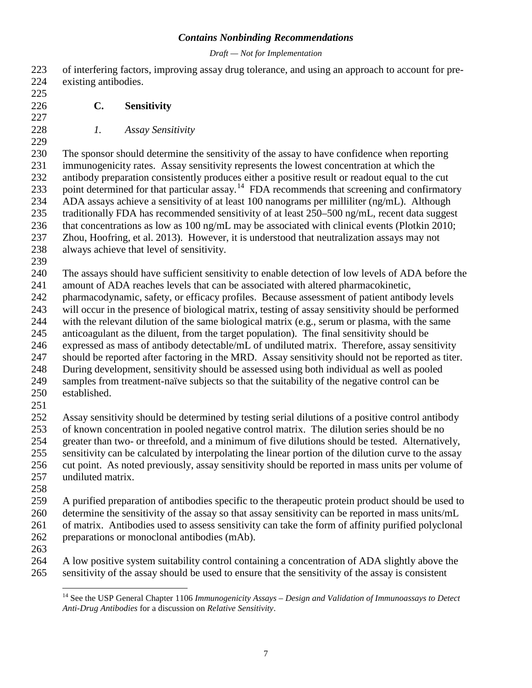#### *Draft — Not for Implementation*

 of interfering factors, improving assay drug tolerance, and using an approach to account for pre- existing antibodies. **C. Sensitivity** *1. Assay Sensitivity* The sponsor should determine the sensitivity of the assay to have confidence when reporting immunogenicity rates. Assay sensitivity represents the lowest concentration at which the antibody preparation consistently produces either a positive result or readout equal to the cut point determined for that particular assay.<sup>[14](#page-10-0)</sup> FDA recommends that screening and confirmatory ADA assays achieve a sensitivity of at least 100 nanograms per milliliter (ng/mL). Although traditionally FDA has recommended sensitivity of at least 250–500 ng/mL, recent data suggest that concentrations as low as 100 ng/mL may be associated with clinical events (Plotkin 2010; Zhou, Hoofring, et al. 2013). However, it is understood that neutralization assays may not always achieve that level of sensitivity. The assays should have sufficient sensitivity to enable detection of low levels of ADA before the amount of ADA reaches levels that can be associated with altered pharmacokinetic, pharmacodynamic, safety, or efficacy profiles. Because assessment of patient antibody levels will occur in the presence of biological matrix, testing of assay sensitivity should be performed with the relevant dilution of the same biological matrix (e.g., serum or plasma, with the same anticoagulant as the diluent, from the target population). The final sensitivity should be expressed as mass of antibody detectable/mL of undiluted matrix. Therefore, assay sensitivity should be reported after factoring in the MRD. Assay sensitivity should not be reported as titer. During development, sensitivity should be assessed using both individual as well as pooled samples from treatment-naïve subjects so that the suitability of the negative control can be established. Assay sensitivity should be determined by testing serial dilutions of a positive control antibody of known concentration in pooled negative control matrix. The dilution series should be no greater than two- or threefold, and a minimum of five dilutions should be tested. Alternatively, sensitivity can be calculated by interpolating the linear portion of the dilution curve to the assay cut point. As noted previously, assay sensitivity should be reported in mass units per volume of undiluted matrix. A purified preparation of antibodies specific to the therapeutic protein product should be used to determine the sensitivity of the assay so that assay sensitivity can be reported in mass units/mL of matrix. Antibodies used to assess sensitivity can take the form of affinity purified polyclonal preparations or monoclonal antibodies (mAb). A low positive system suitability control containing a concentration of ADA slightly above the sensitivity of the assay should be used to ensure that the sensitivity of the assay is consistent

<span id="page-10-0"></span> See the USP General Chapter 1106 *Immunogenicity Assays – Design and Validation of Immunoassays to Detect Anti-Drug Antibodies* for a discussion on *Relative Sensitivity*.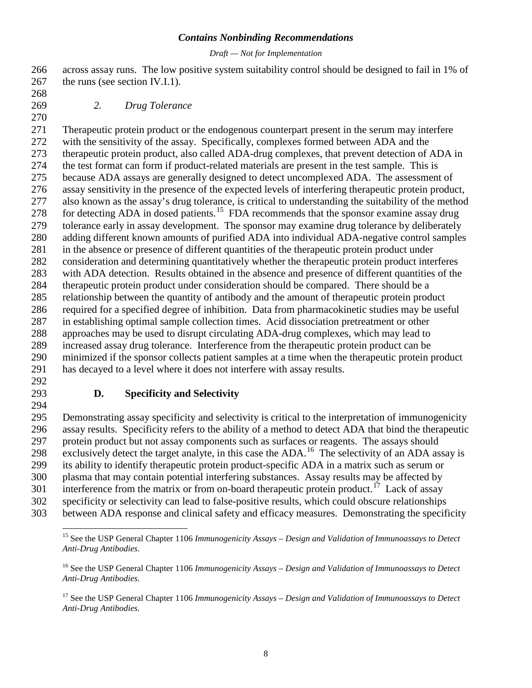#### *Draft — Not for Implementation*

 across assay runs. The low positive system suitability control should be designed to fail in 1% of 267 the runs (see section IV.I.1).

*2. Drug Tolerance*

 Therapeutic protein product or the endogenous counterpart present in the serum may interfere with the sensitivity of the assay. Specifically, complexes formed between ADA and the therapeutic protein product, also called ADA-drug complexes, that prevent detection of ADA in the test format can form if product-related materials are present in the test sample. This is because ADA assays are generally designed to detect uncomplexed ADA. The assessment of assay sensitivity in the presence of the expected levels of interfering therapeutic protein product, also known as the assay's drug tolerance, is critical to understanding the suitability of the method 278 for detecting ADA in dosed patients.<sup>[15](#page-11-0)</sup> FDA recommends that the sponsor examine assay drug tolerance early in assay development. The sponsor may examine drug tolerance by deliberately adding different known amounts of purified ADA into individual ADA-negative control samples in the absence or presence of different quantities of the therapeutic protein product under consideration and determining quantitatively whether the therapeutic protein product interferes with ADA detection. Results obtained in the absence and presence of different quantities of the therapeutic protein product under consideration should be compared. There should be a relationship between the quantity of antibody and the amount of therapeutic protein product required for a specified degree of inhibition. Data from pharmacokinetic studies may be useful in establishing optimal sample collection times. Acid dissociation pretreatment or other approaches may be used to disrupt circulating ADA-drug complexes, which may lead to increased assay drug tolerance. Interference from the therapeutic protein product can be minimized if the sponsor collects patient samples at a time when the therapeutic protein product has decayed to a level where it does not interfere with assay results.

- 
- 

#### **D. Specificity and Selectivity**

 Demonstrating assay specificity and selectivity is critical to the interpretation of immunogenicity assay results. Specificity refers to the ability of a method to detect ADA that bind the therapeutic protein product but not assay components such as surfaces or reagents. The assays should 298 exclusively detect the target analyte, in this case the ADA.<sup>[16](#page-11-1)</sup> The selectivity of an ADA assay is its ability to identify therapeutic protein product-specific ADA in a matrix such as serum or plasma that may contain potential interfering substances. Assay results may be affected by 301 interference from the matrix or from on-board therapeutic protein product.<sup>[17](#page-11-2)</sup> Lack of assay specificity or selectivity can lead to false-positive results, which could obscure relationships between ADA response and clinical safety and efficacy measures. Demonstrating the specificity

<span id="page-11-0"></span> See the USP General Chapter 1106 *Immunogenicity Assays – Design and Validation of Immunoassays to Detect Anti-Drug Antibodies*.

<span id="page-11-1"></span> See the USP General Chapter 1106 *Immunogenicity Assays – Design and Validation of Immunoassays to Detect Anti-Drug Antibodies*.

<span id="page-11-2"></span> See the USP General Chapter 1106 *Immunogenicity Assays – Design and Validation of Immunoassays to Detect Anti-Drug Antibodies*.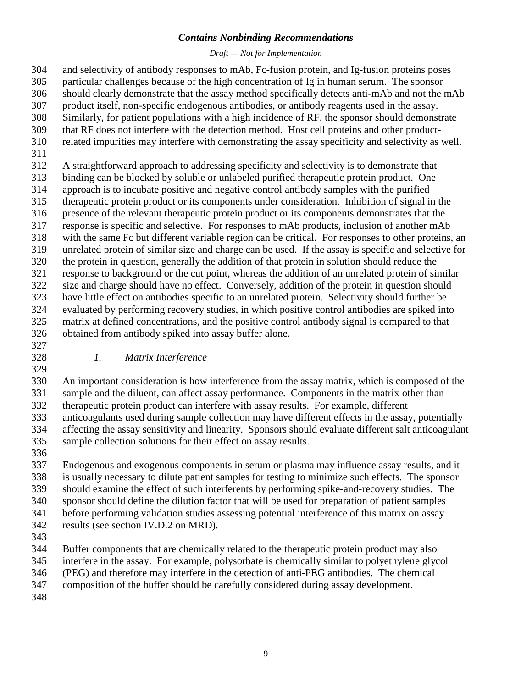*Draft — Not for Implementation*

 and selectivity of antibody responses to mAb, Fc-fusion protein, and Ig-fusion proteins poses particular challenges because of the high concentration of Ig in human serum. The sponsor should clearly demonstrate that the assay method specifically detects anti-mAb and not the mAb product itself, non-specific endogenous antibodies, or antibody reagents used in the assay. Similarly, for patient populations with a high incidence of RF, the sponsor should demonstrate that RF does not interfere with the detection method. Host cell proteins and other product- related impurities may interfere with demonstrating the assay specificity and selectivity as well. A straightforward approach to addressing specificity and selectivity is to demonstrate that binding can be blocked by soluble or unlabeled purified therapeutic protein product. One approach is to incubate positive and negative control antibody samples with the purified therapeutic protein product or its components under consideration. Inhibition of signal in the presence of the relevant therapeutic protein product or its components demonstrates that the response is specific and selective. For responses to mAb products, inclusion of another mAb with the same Fc but different variable region can be critical. For responses to other proteins, an unrelated protein of similar size and charge can be used. If the assay is specific and selective for the protein in question, generally the addition of that protein in solution should reduce the response to background or the cut point, whereas the addition of an unrelated protein of similar size and charge should have no effect. Conversely, addition of the protein in question should have little effect on antibodies specific to an unrelated protein. Selectivity should further be evaluated by performing recovery studies, in which positive control antibodies are spiked into matrix at defined concentrations, and the positive control antibody signal is compared to that obtained from antibody spiked into assay buffer alone.

- 
- 

*1. Matrix Interference*

 An important consideration is how interference from the assay matrix, which is composed of the sample and the diluent, can affect assay performance. Components in the matrix other than therapeutic protein product can interfere with assay results. For example, different anticoagulants used during sample collection may have different effects in the assay, potentially affecting the assay sensitivity and linearity. Sponsors should evaluate different salt anticoagulant sample collection solutions for their effect on assay results.

 Endogenous and exogenous components in serum or plasma may influence assay results, and it is usually necessary to dilute patient samples for testing to minimize such effects. The sponsor should examine the effect of such interferents by performing spike-and-recovery studies. The sponsor should define the dilution factor that will be used for preparation of patient samples before performing validation studies assessing potential interference of this matrix on assay results (see section IV.D.2 on MRD).

 Buffer components that are chemically related to the therapeutic protein product may also interfere in the assay. For example, polysorbate is chemically similar to polyethylene glycol (PEG) and therefore may interfere in the detection of anti-PEG antibodies. The chemical composition of the buffer should be carefully considered during assay development.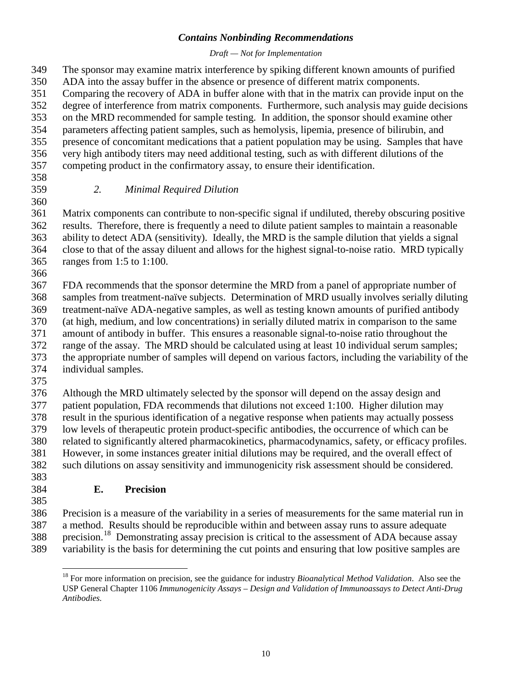#### *Draft — Not for Implementation*

 The sponsor may examine matrix interference by spiking different known amounts of purified ADA into the assay buffer in the absence or presence of different matrix components. Comparing the recovery of ADA in buffer alone with that in the matrix can provide input on the degree of interference from matrix components. Furthermore, such analysis may guide decisions on the MRD recommended for sample testing. In addition, the sponsor should examine other parameters affecting patient samples, such as hemolysis, lipemia, presence of bilirubin, and presence of concomitant medications that a patient population may be using. Samples that have very high antibody titers may need additional testing, such as with different dilutions of the competing product in the confirmatory assay, to ensure their identification. *2. Minimal Required Dilution* 

 Matrix components can contribute to non-specific signal if undiluted, thereby obscuring positive results. Therefore, there is frequently a need to dilute patient samples to maintain a reasonable ability to detect ADA (sensitivity). Ideally, the MRD is the sample dilution that yields a signal close to that of the assay diluent and allows for the highest signal-to-noise ratio. MRD typically ranges from 1:5 to 1:100.

 FDA recommends that the sponsor determine the MRD from a panel of appropriate number of samples from treatment-naïve subjects. Determination of MRD usually involves serially diluting treatment-naïve ADA-negative samples, as well as testing known amounts of purified antibody (at high, medium, and low concentrations) in serially diluted matrix in comparison to the same amount of antibody in buffer. This ensures a reasonable signal-to-noise ratio throughout the range of the assay. The MRD should be calculated using at least 10 individual serum samples; the appropriate number of samples will depend on various factors, including the variability of the individual samples.

 Although the MRD ultimately selected by the sponsor will depend on the assay design and patient population, FDA recommends that dilutions not exceed 1:100. Higher dilution may result in the spurious identification of a negative response when patients may actually possess low levels of therapeutic protein product-specific antibodies, the occurrence of which can be related to significantly altered pharmacokinetics, pharmacodynamics, safety, or efficacy profiles. However, in some instances greater initial dilutions may be required, and the overall effect of such dilutions on assay sensitivity and immunogenicity risk assessment should be considered.

## **E. Precision**

 Precision is a measure of the variability in a series of measurements for the same material run in a method. Results should be reproducible within and between assay runs to assure adequate 388 precision.<sup>[18](#page-13-0)</sup> Demonstrating assay precision is critical to the assessment of ADA because assay variability is the basis for determining the cut points and ensuring that low positive samples are

<span id="page-13-0"></span> For more information on precision, see the guidance for industry *Bioanalytical Method Validation*. Also see the USP General Chapter 1106 *Immunogenicity Assays – Design and Validation of Immunoassays to Detect Anti-Drug Antibodies.*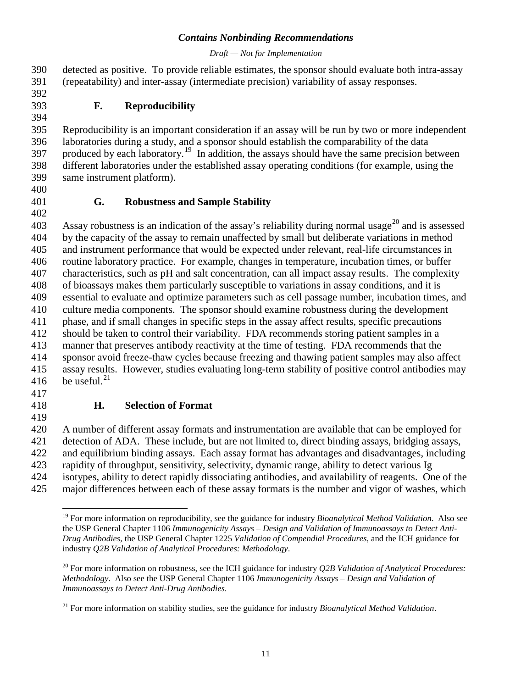*Draft — Not for Implementation*

 detected as positive. To provide reliable estimates, the sponsor should evaluate both intra-assay (repeatability) and inter-assay (intermediate precision) variability of assay responses.

## **F. Reproducibility**

 Reproducibility is an important consideration if an assay will be run by two or more independent laboratories during a study, and a sponsor should establish the comparability of the data produced by each laboratory.<sup>[19](#page-14-0)</sup> In addition, the assays should have the same precision between different laboratories under the established assay operating conditions (for example, using the same instrument platform).

## **G. Robustness and Sample Stability**

 Assay robustness is an indication of the assay's reliability during normal usage<sup>[20](#page-14-1)</sup> and is assessed by the capacity of the assay to remain unaffected by small but deliberate variations in method and instrument performance that would be expected under relevant, real-life circumstances in routine laboratory practice. For example, changes in temperature, incubation times, or buffer characteristics, such as pH and salt concentration, can all impact assay results. The complexity of bioassays makes them particularly susceptible to variations in assay conditions, and it is essential to evaluate and optimize parameters such as cell passage number, incubation times, and culture media components. The sponsor should examine robustness during the development phase, and if small changes in specific steps in the assay affect results, specific precautions should be taken to control their variability. FDA recommends storing patient samples in a manner that preserves antibody reactivity at the time of testing. FDA recommends that the sponsor avoid freeze-thaw cycles because freezing and thawing patient samples may also affect assay results. However, studies evaluating long-term stability of positive control antibodies may 416 be useful.<sup>[21](#page-14-2)</sup>

## **H. Selection of Format**

 A number of different assay formats and instrumentation are available that can be employed for detection of ADA. These include, but are not limited to, direct binding assays, bridging assays, and equilibrium binding assays. Each assay format has advantages and disadvantages, including rapidity of throughput, sensitivity, selectivity, dynamic range, ability to detect various Ig isotypes, ability to detect rapidly dissociating antibodies, and availability of reagents. One of the major differences between each of these assay formats is the number and vigor of washes, which

<span id="page-14-0"></span> For more information on reproducibility, see the guidance for industry *Bioanalytical Method Validation*. Also see the USP General Chapter 1106 *Immunogenicity Assays – Design and Validation of Immunoassays to Detect Anti-Drug Antibodies,* the USP General Chapter 1225 *Validation of Compendial Procedures*, and the ICH guidance for industry *Q2B Validation of Analytical Procedures: Methodology*.

<span id="page-14-1"></span> For more information on robustness, see the ICH guidance for industry *Q2B Validation of Analytical Procedures: Methodology*. Also see the USP General Chapter 1106 *Immunogenicity Assays – Design and Validation of Immunoassays to Detect Anti-Drug Antibodies*.

<span id="page-14-2"></span>For more information on stability studies, see the guidance for industry *Bioanalytical Method Validation*.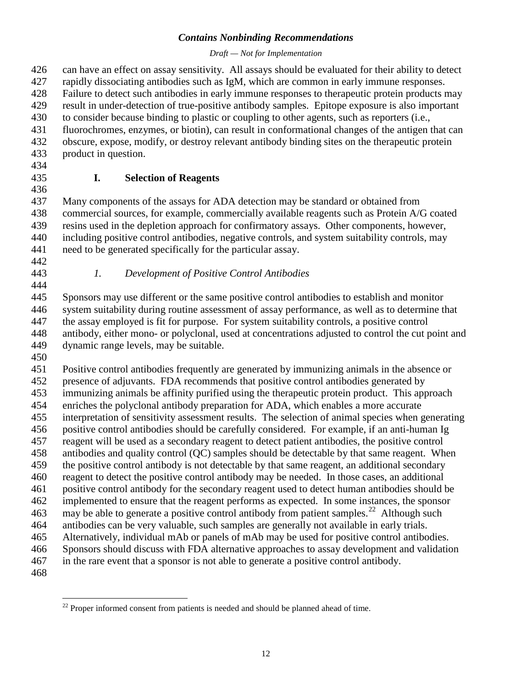*Draft — Not for Implementation*

 can have an effect on assay sensitivity. All assays should be evaluated for their ability to detect rapidly dissociating antibodies such as IgM, which are common in early immune responses. Failure to detect such antibodies in early immune responses to therapeutic protein products may result in under-detection of true-positive antibody samples. Epitope exposure is also important to consider because binding to plastic or coupling to other agents, such as reporters (i.e., fluorochromes, enzymes, or biotin), can result in conformational changes of the antigen that can obscure, expose, modify, or destroy relevant antibody binding sites on the therapeutic protein product in question. **I. Selection of Reagents** Many components of the assays for ADA detection may be standard or obtained from commercial sources, for example, commercially available reagents such as Protein A/G coated resins used in the depletion approach for confirmatory assays. Other components, however, including positive control antibodies, negative controls, and system suitability controls, may need to be generated specifically for the particular assay. *1. Development of Positive Control Antibodies* Sponsors may use different or the same positive control antibodies to establish and monitor system suitability during routine assessment of assay performance, as well as to determine that the assay employed is fit for purpose. For system suitability controls, a positive control antibody, either mono- or polyclonal, used at concentrations adjusted to control the cut point and dynamic range levels, may be suitable. Positive control antibodies frequently are generated by immunizing animals in the absence or presence of adjuvants. FDA recommends that positive control antibodies generated by immunizing animals be affinity purified using the therapeutic protein product. This approach enriches the polyclonal antibody preparation for ADA, which enables a more accurate interpretation of sensitivity assessment results. The selection of animal species when generating positive control antibodies should be carefully considered. For example, if an anti-human Ig reagent will be used as a secondary reagent to detect patient antibodies, the positive control antibodies and quality control (QC) samples should be detectable by that same reagent. When the positive control antibody is not detectable by that same reagent, an additional secondary reagent to detect the positive control antibody may be needed. In those cases, an additional positive control antibody for the secondary reagent used to detect human antibodies should be implemented to ensure that the reagent performs as expected. In some instances, the sponsor 463 may be able to generate a positive control antibody from patient samples.<sup>[22](#page-15-0)</sup> Although such antibodies can be very valuable, such samples are generally not available in early trials. Alternatively, individual mAb or panels of mAb may be used for positive control antibodies. Sponsors should discuss with FDA alternative approaches to assay development and validation in the rare event that a sponsor is not able to generate a positive control antibody. 

<span id="page-15-0"></span>Proper informed consent from patients is needed and should be planned ahead of time.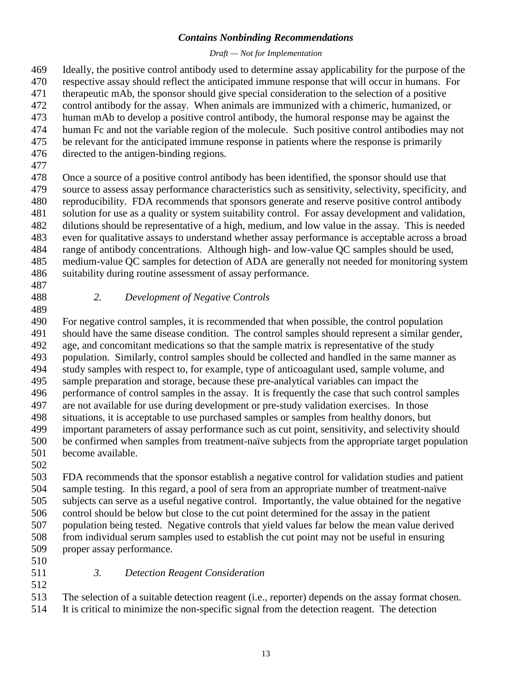#### *Draft — Not for Implementation*

 Ideally, the positive control antibody used to determine assay applicability for the purpose of the respective assay should reflect the anticipated immune response that will occur in humans. For therapeutic mAb, the sponsor should give special consideration to the selection of a positive control antibody for the assay. When animals are immunized with a chimeric, humanized, or human mAb to develop a positive control antibody, the humoral response may be against the human Fc and not the variable region of the molecule. Such positive control antibodies may not 475 be relevant for the anticipated immune response in patients where the response is primarily directed to the antigen-binding regions. Once a source of a positive control antibody has been identified, the sponsor should use that source to assess assay performance characteristics such as sensitivity, selectivity, specificity, and reproducibility. FDA recommends that sponsors generate and reserve positive control antibody solution for use as a quality or system suitability control. For assay development and validation, dilutions should be representative of a high, medium, and low value in the assay. This is needed even for qualitative assays to understand whether assay performance is acceptable across a broad

 range of antibody concentrations. Although high- and low-value QC samples should be used, medium-value QC samples for detection of ADA are generally not needed for monitoring system suitability during routine assessment of assay performance.

## *2. Development of Negative Controls*

 For negative control samples, it is recommended that when possible, the control population should have the same disease condition. The control samples should represent a similar gender, age, and concomitant medications so that the sample matrix is representative of the study population. Similarly, control samples should be collected and handled in the same manner as study samples with respect to, for example, type of anticoagulant used, sample volume, and sample preparation and storage, because these pre-analytical variables can impact the performance of control samples in the assay. It is frequently the case that such control samples are not available for use during development or pre-study validation exercises. In those situations, it is acceptable to use purchased samples or samples from healthy donors, but important parameters of assay performance such as cut point, sensitivity, and selectivity should be confirmed when samples from treatment-naïve subjects from the appropriate target population become available.

 FDA recommends that the sponsor establish a negative control for validation studies and patient sample testing. In this regard, a pool of sera from an appropriate number of treatment-naïve subjects can serve as a useful negative control. Importantly, the value obtained for the negative control should be below but close to the cut point determined for the assay in the patient population being tested. Negative controls that yield values far below the mean value derived from individual serum samples used to establish the cut point may not be useful in ensuring proper assay performance.

- 
- 

*3. Detection Reagent Consideration*

 The selection of a suitable detection reagent (i.e., reporter) depends on the assay format chosen. It is critical to minimize the non-specific signal from the detection reagent. The detection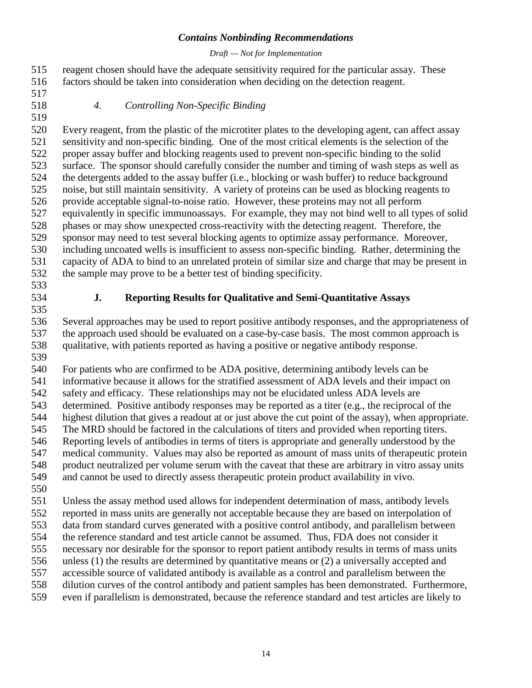*Draft — Not for Implementation*

 reagent chosen should have the adequate sensitivity required for the particular assay. These factors should be taken into consideration when deciding on the detection reagent.

*4. Controlling Non-Specific Binding*

- Every reagent, from the plastic of the microtiter plates to the developing agent, can affect assay sensitivity and non-specific binding. One of the most critical elements is the selection of the proper assay buffer and blocking reagents used to prevent non-specific binding to the solid surface. The sponsor should carefully consider the number and timing of wash steps as well as the detergents added to the assay buffer (i.e., blocking or wash buffer) to reduce background noise, but still maintain sensitivity. A variety of proteins can be used as blocking reagents to provide acceptable signal-to-noise ratio. However, these proteins may not all perform equivalently in specific immunoassays. For example, they may not bind well to all types of solid phases or may show unexpected cross-reactivity with the detecting reagent. Therefore, the sponsor may need to test several blocking agents to optimize assay performance. Moreover, including uncoated wells is insufficient to assess non-specific binding. Rather, determining the capacity of ADA to bind to an unrelated protein of similar size and charge that may be present in the sample may prove to be a better test of binding specificity.
- 
- 

## **J. Reporting Results for Qualitative and Semi-Quantitative Assays**

 Several approaches may be used to report positive antibody responses, and the appropriateness of the approach used should be evaluated on a case-by-case basis. The most common approach is qualitative, with patients reported as having a positive or negative antibody response.

 For patients who are confirmed to be ADA positive, determining antibody levels can be informative because it allows for the stratified assessment of ADA levels and their impact on

safety and efficacy. These relationships may not be elucidated unless ADA levels are

determined. Positive antibody responses may be reported as a titer (e.g., the reciprocal of the

highest dilution that gives a readout at or just above the cut point of the assay), when appropriate.

The MRD should be factored in the calculations of titers and provided when reporting titers.

Reporting levels of antibodies in terms of titers is appropriate and generally understood by the

medical community. Values may also be reported as amount of mass units of therapeutic protein

 product neutralized per volume serum with the caveat that these are arbitrary in vitro assay units and cannot be used to directly assess therapeutic protein product availability in vivo.

Unless the assay method used allows for independent determination of mass, antibody levels

reported in mass units are generally not acceptable because they are based on interpolation of

data from standard curves generated with a positive control antibody, and parallelism between

- the reference standard and test article cannot be assumed. Thus, FDA does not consider it
- necessary nor desirable for the sponsor to report patient antibody results in terms of mass units unless (1) the results are determined by quantitative means or (2) a universally accepted and
- accessible source of validated antibody is available as a control and parallelism between the
- dilution curves of the control antibody and patient samples has been demonstrated. Furthermore,
- even if parallelism is demonstrated, because the reference standard and test articles are likely to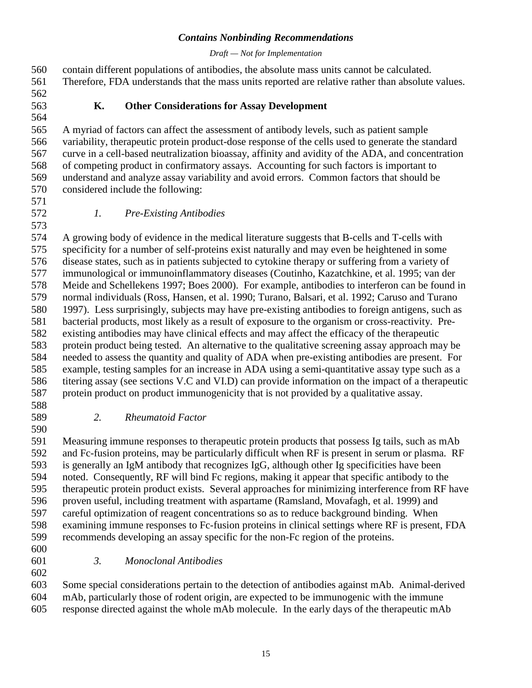#### *Draft — Not for Implementation*

- contain different populations of antibodies, the absolute mass units cannot be calculated. Therefore, FDA understands that the mass units reported are relative rather than absolute values. **K. Other Considerations for Assay Development** A myriad of factors can affect the assessment of antibody levels, such as patient sample variability, therapeutic protein product-dose response of the cells used to generate the standard curve in a cell-based neutralization bioassay, affinity and avidity of the ADA, and concentration of competing product in confirmatory assays. Accounting for such factors is important to understand and analyze assay variability and avoid errors. Common factors that should be considered include the following: *1. Pre-Existing Antibodies* A growing body of evidence in the medical literature suggests that B-cells and T-cells with specificity for a number of self-proteins exist naturally and may even be heightened in some disease states, such as in patients subjected to cytokine therapy or suffering from a variety of immunological or immunoinflammatory diseases (Coutinho, Kazatchkine, et al. 1995; van der Meide and Schellekens 1997; Boes 2000). For example, antibodies to interferon can be found in normal individuals (Ross, Hansen, et al. 1990; Turano, Balsari, et al. 1992; Caruso and Turano 1997). Less surprisingly, subjects may have pre-existing antibodies to foreign antigens, such as bacterial products, most likely as a result of exposure to the organism or cross-reactivity. Pre- existing antibodies may have clinical effects and may affect the efficacy of the therapeutic protein product being tested. An alternative to the qualitative screening assay approach may be needed to assess the quantity and quality of ADA when pre-existing antibodies are present. For example, testing samples for an increase in ADA using a semi-quantitative assay type such as a titering assay (see sections V.C and VI.D) can provide information on the impact of a therapeutic protein product on product immunogenicity that is not provided by a qualitative assay. *2. Rheumatoid Factor*
- 

 Measuring immune responses to therapeutic protein products that possess Ig tails, such as mAb and Fc-fusion proteins, may be particularly difficult when RF is present in serum or plasma. RF is generally an IgM antibody that recognizes IgG, although other Ig specificities have been noted. Consequently, RF will bind Fc regions, making it appear that specific antibody to the therapeutic protein product exists. Several approaches for minimizing interference from RF have proven useful, including treatment with aspartame (Ramsland, Movafagh, et al. 1999) and careful optimization of reagent concentrations so as to reduce background binding. When examining immune responses to Fc-fusion proteins in clinical settings where RF is present, FDA recommends developing an assay specific for the non-Fc region of the proteins.

*3. Monoclonal Antibodies*

 Some special considerations pertain to the detection of antibodies against mAb. Animal-derived mAb, particularly those of rodent origin, are expected to be immunogenic with the immune

response directed against the whole mAb molecule. In the early days of the therapeutic mAb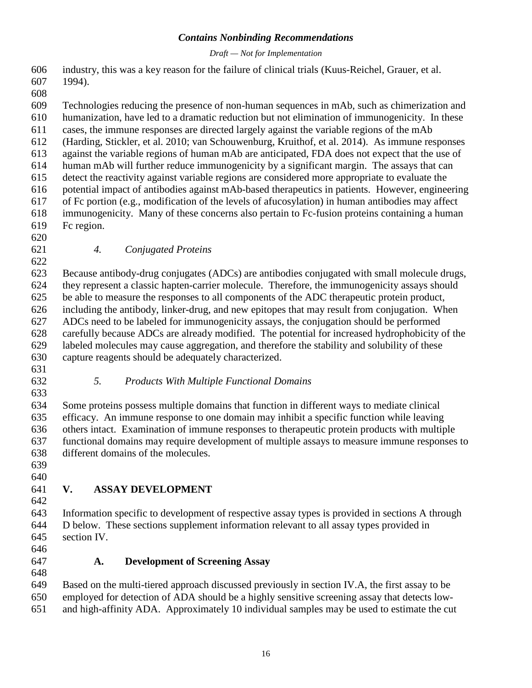*Draft — Not for Implementation*

| 606<br>607 | industry, this was a key reason for the failure of clinical trials (Kuus-Reichel, Grauer, et al.<br>1994).                                                                                   |
|------------|----------------------------------------------------------------------------------------------------------------------------------------------------------------------------------------------|
| 608        |                                                                                                                                                                                              |
| 609        | Technologies reducing the presence of non-human sequences in mAb, such as chimerization and                                                                                                  |
| 610        | humanization, have led to a dramatic reduction but not elimination of immunogenicity. In these                                                                                               |
| 611        | cases, the immune responses are directed largely against the variable regions of the mAb                                                                                                     |
| 612        | (Harding, Stickler, et al. 2010; van Schouwenburg, Kruithof, et al. 2014). As immune responses                                                                                               |
| 613        | against the variable regions of human mAb are anticipated, FDA does not expect that the use of                                                                                               |
| 614        | human mAb will further reduce immunogenicity by a significant margin. The assays that can                                                                                                    |
| 615        | detect the reactivity against variable regions are considered more appropriate to evaluate the                                                                                               |
| 616        | potential impact of antibodies against mAb-based therapeutics in patients. However, engineering                                                                                              |
| 617        | of Fc portion (e.g., modification of the levels of afucosylation) in human antibodies may affect                                                                                             |
| 618        | immunogenicity. Many of these concerns also pertain to Fc-fusion proteins containing a human                                                                                                 |
| 619        | Fc region.                                                                                                                                                                                   |
| 620        |                                                                                                                                                                                              |
| 621        | 4.<br>Conjugated Proteins                                                                                                                                                                    |
| 622        |                                                                                                                                                                                              |
| 623        | Because antibody-drug conjugates (ADCs) are antibodies conjugated with small molecule drugs,                                                                                                 |
| 624        | they represent a classic hapten-carrier molecule. Therefore, the immunogenicity assays should                                                                                                |
| 625        | be able to measure the responses to all components of the ADC therapeutic protein product,                                                                                                   |
| 626        | including the antibody, linker-drug, and new epitopes that may result from conjugation. When                                                                                                 |
| 627        | ADCs need to be labeled for immunogenicity assays, the conjugation should be performed                                                                                                       |
| 628        | carefully because ADCs are already modified. The potential for increased hydrophobicity of the                                                                                               |
| 629        | labeled molecules may cause aggregation, and therefore the stability and solubility of these                                                                                                 |
| 630        | capture reagents should be adequately characterized.                                                                                                                                         |
| 631        |                                                                                                                                                                                              |
| 632        | 5.<br><b>Products With Multiple Functional Domains</b>                                                                                                                                       |
| 633        |                                                                                                                                                                                              |
| 634        | Some proteins possess multiple domains that function in different ways to mediate clinical                                                                                                   |
| 635<br>636 | efficacy. An immune response to one domain may inhibit a specific function while leaving                                                                                                     |
| 637        | others intact. Examination of immune responses to therapeutic protein products with multiple<br>functional domains may require development of multiple assays to measure immune responses to |
| 638        | different domains of the molecules.                                                                                                                                                          |
| 639        |                                                                                                                                                                                              |
| 640        |                                                                                                                                                                                              |
| 641        | V.<br><b>ASSAY DEVELOPMENT</b>                                                                                                                                                               |
| 642        |                                                                                                                                                                                              |
| 643        | Information specific to development of respective assay types is provided in sections A through                                                                                              |
| 644        | D below. These sections supplement information relevant to all assay types provided in                                                                                                       |
| 645        | section IV.                                                                                                                                                                                  |
| 646        |                                                                                                                                                                                              |
| 647        | <b>Development of Screening Assay</b><br>A.                                                                                                                                                  |
| 648        |                                                                                                                                                                                              |
| 649        | Based on the multi-tiered approach discussed previously in section IV.A, the first assay to be                                                                                               |
| 650        | employed for detection of ADA should be a highly sensitive screening assay that detects low-                                                                                                 |
| 651        | and high-affinity ADA. Approximately 10 individual samples may be used to estimate the cut                                                                                                   |
|            |                                                                                                                                                                                              |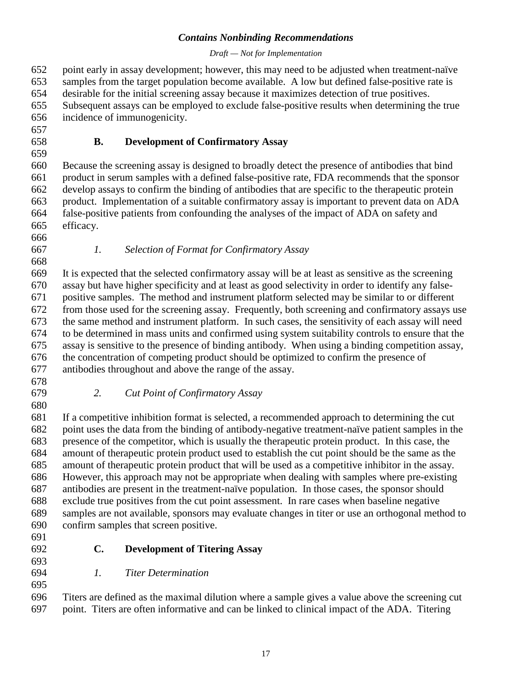#### *Draft — Not for Implementation*

 point early in assay development; however, this may need to be adjusted when treatment-naïve samples from the target population become available. A low but defined false-positive rate is

desirable for the initial screening assay because it maximizes detection of true positives.

 Subsequent assays can be employed to exclude false-positive results when determining the true incidence of immunogenicity.

## 

## **B. Development of Confirmatory Assay**

 Because the screening assay is designed to broadly detect the presence of antibodies that bind product in serum samples with a defined false-positive rate, FDA recommends that the sponsor develop assays to confirm the binding of antibodies that are specific to the therapeutic protein product. Implementation of a suitable confirmatory assay is important to prevent data on ADA false-positive patients from confounding the analyses of the impact of ADA on safety and efficacy.

- 
- 

## *1. Selection of Format for Confirmatory Assay*

 It is expected that the selected confirmatory assay will be at least as sensitive as the screening assay but have higher specificity and at least as good selectivity in order to identify any false- positive samples. The method and instrument platform selected may be similar to or different from those used for the screening assay. Frequently, both screening and confirmatory assays use the same method and instrument platform. In such cases, the sensitivity of each assay will need to be determined in mass units and confirmed using system suitability controls to ensure that the assay is sensitive to the presence of binding antibody. When using a binding competition assay, the concentration of competing product should be optimized to confirm the presence of antibodies throughout and above the range of the assay.

- 
- 

*2. Cut Point of Confirmatory Assay*

 If a competitive inhibition format is selected, a recommended approach to determining the cut point uses the data from the binding of antibody-negative treatment-naïve patient samples in the presence of the competitor, which is usually the therapeutic protein product. In this case, the amount of therapeutic protein product used to establish the cut point should be the same as the amount of therapeutic protein product that will be used as a competitive inhibitor in the assay. However, this approach may not be appropriate when dealing with samples where pre-existing antibodies are present in the treatment-naïve population. In those cases, the sponsor should exclude true positives from the cut point assessment. In rare cases when baseline negative samples are not available, sponsors may evaluate changes in titer or use an orthogonal method to confirm samples that screen positive.

- 
- **C. Development of Titering Assay**
- 

- *1. Titer Determination*
- Titers are defined as the maximal dilution where a sample gives a value above the screening cut point. Titers are often informative and can be linked to clinical impact of the ADA. Titering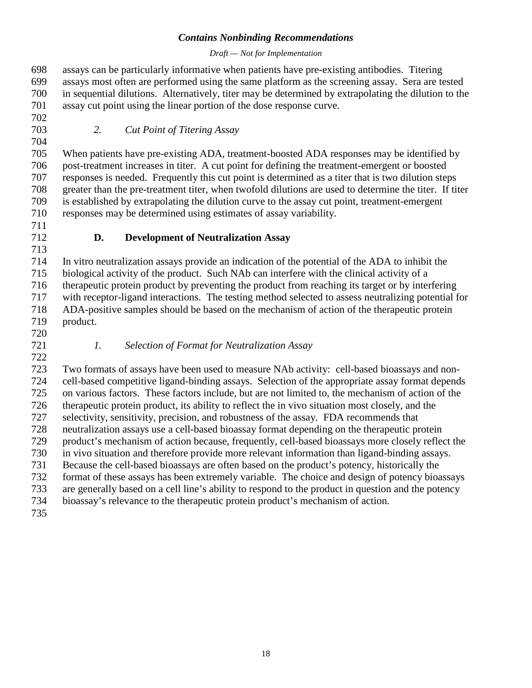#### *Draft — Not for Implementation*

 assays can be particularly informative when patients have pre-existing antibodies. Titering assays most often are performed using the same platform as the screening assay. Sera are tested in sequential dilutions. Alternatively, titer may be determined by extrapolating the dilution to the assay cut point using the linear portion of the dose response curve.

*2. Cut Point of Titering Assay*

 When patients have pre-existing ADA, treatment-boosted ADA responses may be identified by post-treatment increases in titer. A cut point for defining the treatment-emergent or boosted responses is needed. Frequently this cut point is determined as a titer that is two dilution steps greater than the pre-treatment titer, when twofold dilutions are used to determine the titer. If titer is established by extrapolating the dilution curve to the assay cut point, treatment-emergent responses may be determined using estimates of assay variability.

#### **D. Development of Neutralization Assay**

 In vitro neutralization assays provide an indication of the potential of the ADA to inhibit the biological activity of the product. Such NAb can interfere with the clinical activity of a therapeutic protein product by preventing the product from reaching its target or by interfering with receptor-ligand interactions. The testing method selected to assess neutralizing potential for ADA-positive samples should be based on the mechanism of action of the therapeutic protein product.

- 
- 

#### *1. Selection of Format for Neutralization Assay*

 Two formats of assays have been used to measure NAb activity: cell-based bioassays and non- cell-based competitive ligand-binding assays. Selection of the appropriate assay format depends on various factors. These factors include, but are not limited to, the mechanism of action of the therapeutic protein product, its ability to reflect the in vivo situation most closely, and the selectivity, sensitivity, precision, and robustness of the assay. FDA recommends that neutralization assays use a cell-based bioassay format depending on the therapeutic protein product's mechanism of action because, frequently, cell-based bioassays more closely reflect the in vivo situation and therefore provide more relevant information than ligand-binding assays. Because the cell-based bioassays are often based on the product's potency, historically the format of these assays has been extremely variable. The choice and design of potency bioassays are generally based on a cell line's ability to respond to the product in question and the potency bioassay's relevance to the therapeutic protein product's mechanism of action.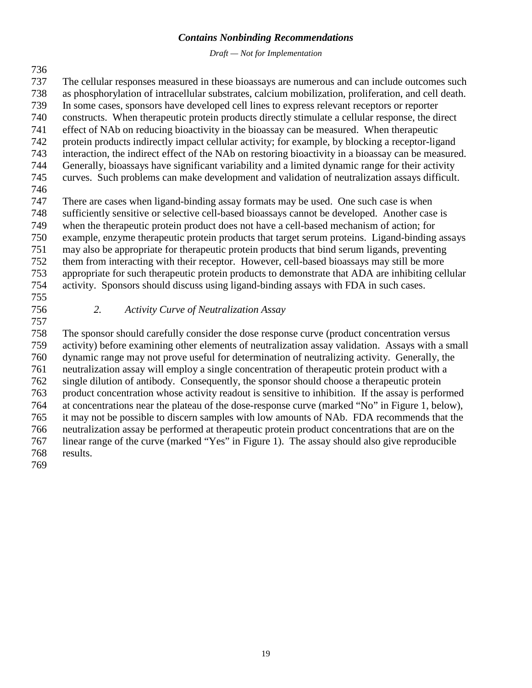*Draft — Not for Implementation*

 The cellular responses measured in these bioassays are numerous and can include outcomes such as phosphorylation of intracellular substrates, calcium mobilization, proliferation, and cell death. In some cases, sponsors have developed cell lines to express relevant receptors or reporter constructs. When therapeutic protein products directly stimulate a cellular response, the direct effect of NAb on reducing bioactivity in the bioassay can be measured. When therapeutic protein products indirectly impact cellular activity; for example, by blocking a receptor-ligand interaction, the indirect effect of the NAb on restoring bioactivity in a bioassay can be measured. Generally, bioassays have significant variability and a limited dynamic range for their activity curves. Such problems can make development and validation of neutralization assays difficult. There are cases when ligand-binding assay formats may be used. One such case is when sufficiently sensitive or selective cell-based bioassays cannot be developed. Another case is when the therapeutic protein product does not have a cell-based mechanism of action; for example, enzyme therapeutic protein products that target serum proteins. Ligand-binding assays may also be appropriate for therapeutic protein products that bind serum ligands, preventing them from interacting with their receptor. However, cell-based bioassays may still be more appropriate for such therapeutic protein products to demonstrate that ADA are inhibiting cellular

activity. Sponsors should discuss using ligand-binding assays with FDA in such cases.

*2. Activity Curve of Neutralization Assay*

 The sponsor should carefully consider the dose response curve (product concentration versus activity) before examining other elements of neutralization assay validation. Assays with a small dynamic range may not prove useful for determination of neutralizing activity. Generally, the neutralization assay will employ a single concentration of therapeutic protein product with a single dilution of antibody. Consequently, the sponsor should choose a therapeutic protein product concentration whose activity readout is sensitive to inhibition. If the assay is performed at concentrations near the plateau of the dose-response curve (marked "No" in Figure 1, below), it may not be possible to discern samples with low amounts of NAb. FDA recommends that the neutralization assay be performed at therapeutic protein product concentrations that are on the linear range of the curve (marked "Yes" in Figure 1). The assay should also give reproducible results.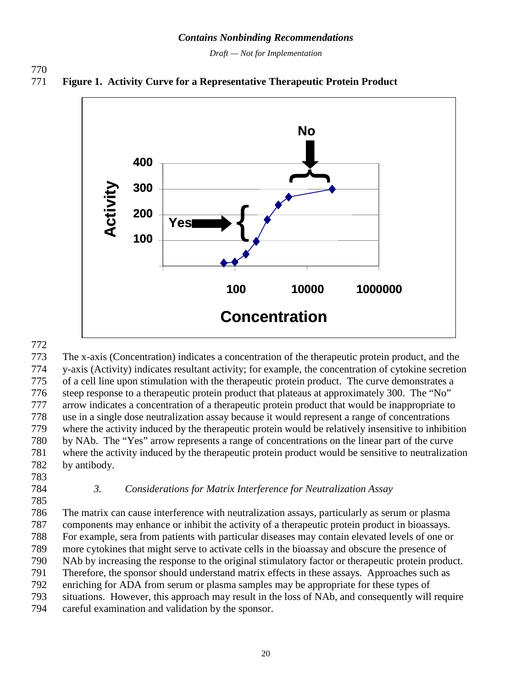*Draft — Not for Implementation*

## **Figure 1. Activity Curve for a Representative Therapeutic Protein Product**



 The x-axis (Concentration) indicates a concentration of the therapeutic protein product, and the y-axis (Activity) indicates resultant activity; for example, the concentration of cytokine secretion of a cell line upon stimulation with the therapeutic protein product. The curve demonstrates a steep response to a therapeutic protein product that plateaus at approximately 300. The "No" arrow indicates a concentration of a therapeutic protein product that would be inappropriate to use in a single dose neutralization assay because it would represent a range of concentrations where the activity induced by the therapeutic protein would be relatively insensitive to inhibition by NAb. The "Yes" arrow represents a range of concentrations on the linear part of the curve where the activity induced by the therapeutic protein product would be sensitive to neutralization by antibody.

- 
- 

## *3. Considerations for Matrix Interference for Neutralization Assay*

 The matrix can cause interference with neutralization assays, particularly as serum or plasma components may enhance or inhibit the activity of a therapeutic protein product in bioassays. For example, sera from patients with particular diseases may contain elevated levels of one or more cytokines that might serve to activate cells in the bioassay and obscure the presence of NAb by increasing the response to the original stimulatory factor or therapeutic protein product. Therefore, the sponsor should understand matrix effects in these assays. Approaches such as enriching for ADA from serum or plasma samples may be appropriate for these types of situations. However, this approach may result in the loss of NAb, and consequently will require careful examination and validation by the sponsor.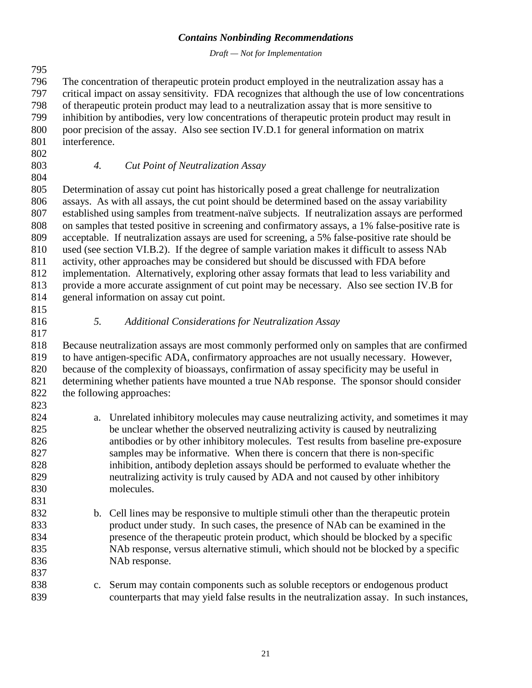*Draft — Not for Implementation*

 The concentration of therapeutic protein product employed in the neutralization assay has a critical impact on assay sensitivity. FDA recognizes that although the use of low concentrations of therapeutic protein product may lead to a neutralization assay that is more sensitive to inhibition by antibodies, very low concentrations of therapeutic protein product may result in poor precision of the assay. Also see section IV.D.1 for general information on matrix interference.

*4. Cut Point of Neutralization Assay*

 Determination of assay cut point has historically posed a great challenge for neutralization assays. As with all assays, the cut point should be determined based on the assay variability established using samples from treatment-naïve subjects. If neutralization assays are performed on samples that tested positive in screening and confirmatory assays, a 1% false-positive rate is acceptable. If neutralization assays are used for screening, a 5% false-positive rate should be used (see section VI.B.2). If the degree of sample variation makes it difficult to assess NAb activity, other approaches may be considered but should be discussed with FDA before implementation. Alternatively, exploring other assay formats that lead to less variability and provide a more accurate assignment of cut point may be necessary. Also see section IV.B for general information on assay cut point.

*5. Additional Considerations for Neutralization Assay*

 Because neutralization assays are most commonly performed only on samples that are confirmed to have antigen-specific ADA, confirmatory approaches are not usually necessary. However, because of the complexity of bioassays, confirmation of assay specificity may be useful in determining whether patients have mounted a true NAb response. The sponsor should consider the following approaches: 

- a. Unrelated inhibitory molecules may cause neutralizing activity, and sometimes it may be unclear whether the observed neutralizing activity is caused by neutralizing antibodies or by other inhibitory molecules. Test results from baseline pre-exposure samples may be informative. When there is concern that there is non-specific inhibition, antibody depletion assays should be performed to evaluate whether the neutralizing activity is truly caused by ADA and not caused by other inhibitory molecules.
- b. Cell lines may be responsive to multiple stimuli other than the therapeutic protein product under study. In such cases, the presence of NAb can be examined in the presence of the therapeutic protein product, which should be blocked by a specific NAb response, versus alternative stimuli, which should not be blocked by a specific NAb response.
- c. Serum may contain components such as soluble receptors or endogenous product counterparts that may yield false results in the neutralization assay. In such instances,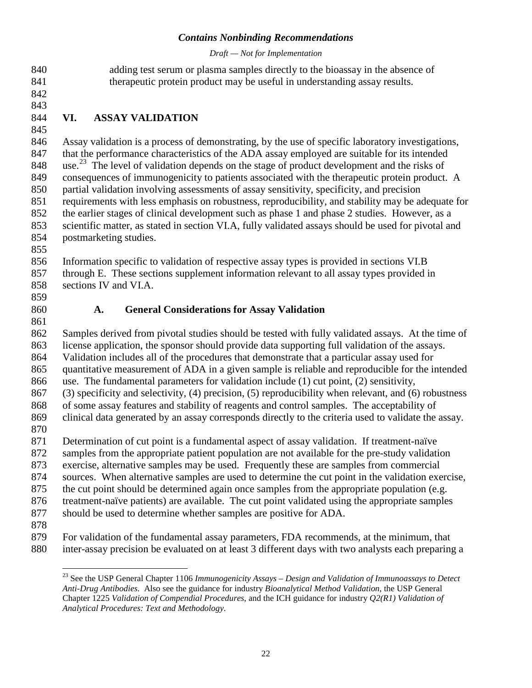*Draft — Not for Implementation*

- <span id="page-25-0"></span> adding test serum or plasma samples directly to the bioassay in the absence of therapeutic protein product may be useful in understanding assay results. **VI. ASSAY VALIDATION** Assay validation is a process of demonstrating, by the use of specific laboratory investigations, that the performance characteristics of the ADA assay employed are suitable for its intended 848 use.<sup>[23](#page-25-0)</sup> The level of validation depends on the stage of product development and the risks of consequences of immunogenicity to patients associated with the therapeutic protein product. A partial validation involving assessments of assay sensitivity, specificity, and precision requirements with less emphasis on robustness, reproducibility, and stability may be adequate for the earlier stages of clinical development such as phase 1 and phase 2 studies. However, as a scientific matter, as stated in section VI.A, fully validated assays should be used for pivotal and postmarketing studies. Information specific to validation of respective assay types is provided in sections VI.B through E. These sections supplement information relevant to all assay types provided in sections IV and VI.A. **A. General Considerations for Assay Validation** Samples derived from pivotal studies should be tested with fully validated assays. At the time of license application, the sponsor should provide data supporting full validation of the assays. Validation includes all of the procedures that demonstrate that a particular assay used for quantitative measurement of ADA in a given sample is reliable and reproducible for the intended use. The fundamental parameters for validation include (1) cut point, (2) sensitivity, (3) specificity and selectivity, (4) precision, (5) reproducibility when relevant, and (6) robustness of some assay features and stability of reagents and control samples. The acceptability of clinical data generated by an assay corresponds directly to the criteria used to validate the assay. Determination of cut point is a fundamental aspect of assay validation. If treatment-naïve samples from the appropriate patient population are not available for the pre-study validation exercise, alternative samples may be used. Frequently these are samples from commercial sources. When alternative samples are used to determine the cut point in the validation exercise, the cut point should be determined again once samples from the appropriate population (e.g. treatment-naïve patients) are available. The cut point validated using the appropriate samples should be used to determine whether samples are positive for ADA. For validation of the fundamental assay parameters, FDA recommends, at the minimum, that inter-assay precision be evaluated on at least 3 different days with two analysts each preparing a See the USP General Chapter 1106 *Immunogenicity Assays – Design and Validation of Immunoassays to Detect Anti-Drug Antibodies*. Also see the guidance for industry *Bioanalytical Method Validation*, the USP General
	- Chapter 1225 *Validation of Compendial Procedures*, and the ICH guidance for industry *Q2(R1) Validation of Analytical Procedures: Text and Methodology*.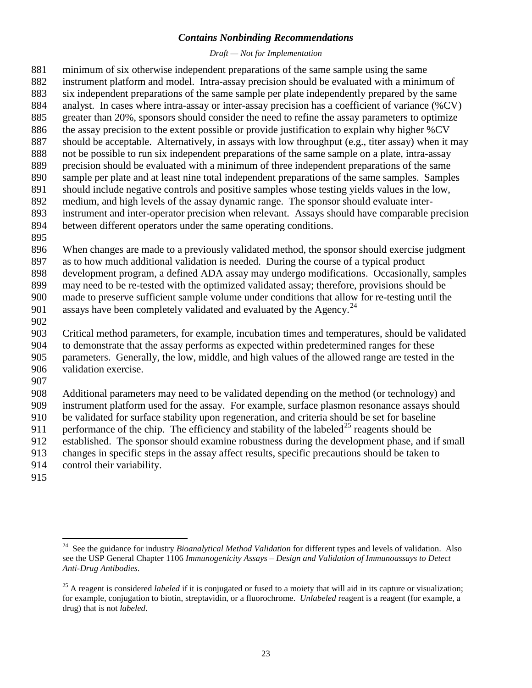#### *Draft — Not for Implementation*

 minimum of six otherwise independent preparations of the same sample using the same instrument platform and model. Intra-assay precision should be evaluated with a minimum of six independent preparations of the same sample per plate independently prepared by the same analyst. In cases where intra-assay or inter-assay precision has a coefficient of variance (%CV) greater than 20%, sponsors should consider the need to refine the assay parameters to optimize the assay precision to the extent possible or provide justification to explain why higher %CV should be acceptable. Alternatively, in assays with low throughput (e.g., titer assay) when it may not be possible to run six independent preparations of the same sample on a plate, intra-assay precision should be evaluated with a minimum of three independent preparations of the same sample per plate and at least nine total independent preparations of the same samples. Samples should include negative controls and positive samples whose testing yields values in the low, medium, and high levels of the assay dynamic range. The sponsor should evaluate inter- instrument and inter-operator precision when relevant. Assays should have comparable precision between different operators under the same operating conditions.

When changes are made to a previously validated method, the sponsor should exercise judgment

as to how much additional validation is needed. During the course of a typical product

development program, a defined ADA assay may undergo modifications. Occasionally, samples

may need to be re-tested with the optimized validated assay; therefore, provisions should be

 made to preserve sufficient sample volume under conditions that allow for re-testing until the 901 assays have been completely validated and evaluated by the Agency.<sup>[24](#page-26-0)</sup>

 Critical method parameters, for example, incubation times and temperatures, should be validated to demonstrate that the assay performs as expected within predetermined ranges for these parameters. Generally, the low, middle, and high values of the allowed range are tested in the validation exercise.

 Additional parameters may need to be validated depending on the method (or technology) and instrument platform used for the assay. For example, surface plasmon resonance assays should

 be validated for surface stability upon regeneration, and criteria should be set for baseline 911 performance of the chip. The efficiency and stability of the labeled<sup>[25](#page-26-1)</sup> reagents should be

established. The sponsor should examine robustness during the development phase, and if small

changes in specific steps in the assay affect results, specific precautions should be taken to

control their variability.

<span id="page-26-0"></span> <sup>24</sup> See the guidance for industry *Bioanalytical Method Validation* for different types and levels of validation. Also see the USP General Chapter 1106 *Immunogenicity Assays – Design and Validation of Immunoassays to Detect Anti-Drug Antibodies*.

<span id="page-26-1"></span><sup>&</sup>lt;sup>25</sup> A reagent is considered *labeled* if it is conjugated or fused to a moiety that will aid in its capture or visualization; for example, conjugation to biotin, streptavidin, or a fluorochrome. *Unlabeled* reagent is a reagent (for example, a drug) that is not *labeled*.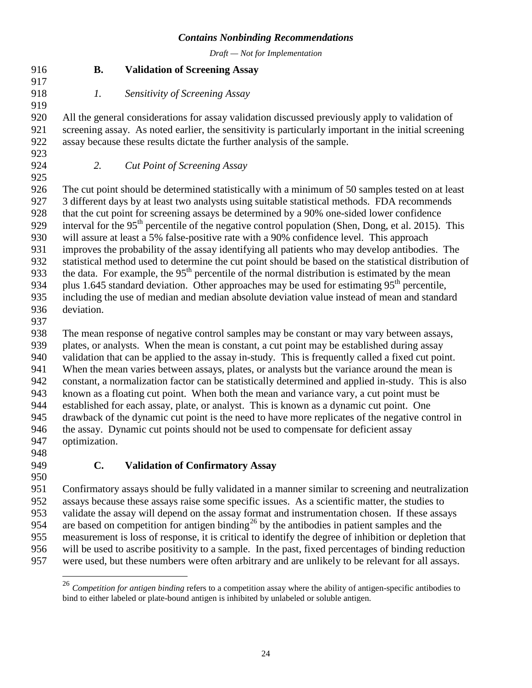*Draft — Not for Implementation*

- **B. Validation of Screening Assay** *1. Sensitivity of Screening Assay* All the general considerations for assay validation discussed previously apply to validation of screening assay. As noted earlier, the sensitivity is particularly important in the initial screening assay because these results dictate the further analysis of the sample. *2. Cut Point of Screening Assay* The cut point should be determined statistically with a minimum of 50 samples tested on at least 3 different days by at least two analysts using suitable statistical methods. FDA recommends that the cut point for screening assays be determined by a 90% one-sided lower confidence 929 interval for the  $95<sup>th</sup>$  percentile of the negative control population (Shen, Dong, et al. 2015). This will assure at least a 5% false-positive rate with a 90% confidence level. This approach improves the probability of the assay identifying all patients who may develop antibodies. The statistical method used to determine the cut point should be based on the statistical distribution of 933 the data. For example, the  $95<sup>th</sup>$  percentile of the normal distribution is estimated by the mean 934 plus 1.645 standard deviation. Other approaches may be used for estimating  $95<sup>th</sup>$  percentile, including the use of median and median absolute deviation value instead of mean and standard deviation. The mean response of negative control samples may be constant or may vary between assays, plates, or analysts. When the mean is constant, a cut point may be established during assay validation that can be applied to the assay in-study. This is frequently called a fixed cut point. When the mean varies between assays, plates, or analysts but the variance around the mean is constant, a normalization factor can be statistically determined and applied in-study. This is also known as a floating cut point. When both the mean and variance vary, a cut point must be established for each assay, plate, or analyst. This is known as a dynamic cut point. One drawback of the dynamic cut point is the need to have more replicates of the negative control in the assay. Dynamic cut points should not be used to compensate for deficient assay optimization.
	-
	-

## **C. Validation of Confirmatory Assay**

 Confirmatory assays should be fully validated in a manner similar to screening and neutralization assays because these assays raise some specific issues. As a scientific matter, the studies to validate the assay will depend on the assay format and instrumentation chosen. If these assays 954 are based on competition for antigen binding<sup>[26](#page-27-0)</sup> by the antibodies in patient samples and the measurement is loss of response, it is critical to identify the degree of inhibition or depletion that will be used to ascribe positivity to a sample. In the past, fixed percentages of binding reduction were used, but these numbers were often arbitrary and are unlikely to be relevant for all assays.

<span id="page-27-0"></span> *Competition for antigen binding* refers to a competition assay where the ability of antigen-specific antibodies to bind to either labeled or plate-bound antigen is inhibited by unlabeled or soluble antigen.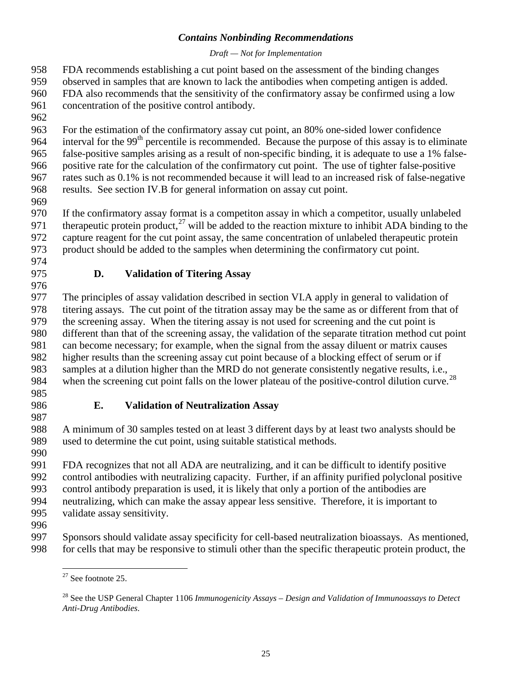#### *Draft — Not for Implementation*

FDA recommends establishing a cut point based on the assessment of the binding changes

observed in samples that are known to lack the antibodies when competing antigen is added.

FDA also recommends that the sensitivity of the confirmatory assay be confirmed using a low

concentration of the positive control antibody.

 For the estimation of the confirmatory assay cut point, an 80% one-sided lower confidence 964 interval for the 99<sup>th</sup> percentile is recommended. Because the purpose of this assay is to eliminate false-positive samples arising as a result of non-specific binding, it is adequate to use a 1% false- positive rate for the calculation of the confirmatory cut point. The use of tighter false-positive rates such as 0.1% is not recommended because it will lead to an increased risk of false-negative results. See section IV.B for general information on assay cut point.

 If the confirmatory assay format is a competiton assay in which a competitor, usually unlabeled 971 therapeutic protein product,<sup>[27](#page-28-0)</sup> will be added to the reaction mixture to inhibit ADA binding to the capture reagent for the cut point assay, the same concentration of unlabeled therapeutic protein product should be added to the samples when determining the confirmatory cut point.

## **D. Validation of Titering Assay**

 The principles of assay validation described in section VI.A apply in general to validation of titering assays. The cut point of the titration assay may be the same as or different from that of the screening assay. When the titering assay is not used for screening and the cut point is different than that of the screening assay, the validation of the separate titration method cut point can become necessary; for example, when the signal from the assay diluent or matrix causes higher results than the screening assay cut point because of a blocking effect of serum or if 982 night results than the servering assay on point occurring the MRD do not generate consistently negative results, i.e., samples at a dilution higher than the MRD do not generate consistently negative results, i.e.,  $^{2$ 984 when the screening cut point falls on the lower plateau of the positive-control dilution curve.

## **E. Validation of Neutralization Assay**

 A minimum of 30 samples tested on at least 3 different days by at least two analysts should be used to determine the cut point, using suitable statistical methods.

 FDA recognizes that not all ADA are neutralizing, and it can be difficult to identify positive control antibodies with neutralizing capacity. Further, if an affinity purified polyclonal positive

 control antibody preparation is used, it is likely that only a portion of the antibodies are neutralizing, which can make the assay appear less sensitive. Therefore, it is important to

- validate assay sensitivity.
- 
- <span id="page-28-0"></span> Sponsors should validate assay specificity for cell-based neutralization bioassays. As mentioned, for cells that may be responsive to stimuli other than the specific therapeutic protein product, the

See footnote 25.

<span id="page-28-1"></span> See the USP General Chapter 1106 *Immunogenicity Assays – Design and Validation of Immunoassays to Detect Anti-Drug Antibodies*.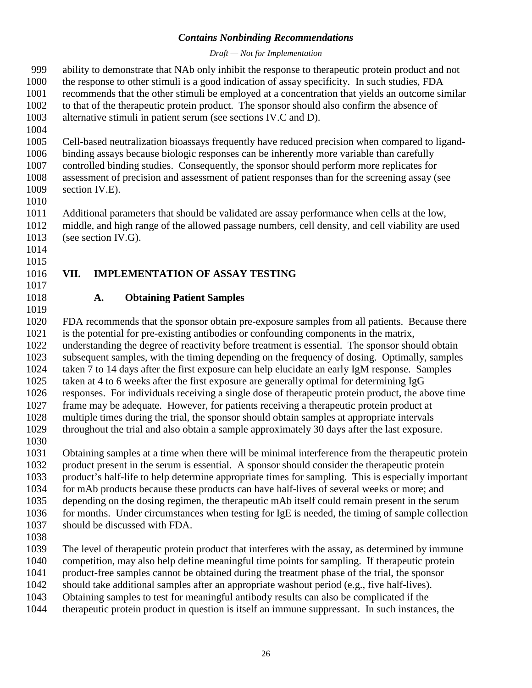#### *Draft — Not for Implementation*

| 999<br>1000<br>1001<br>1002<br>1003<br>1004  | ability to demonstrate that NAb only inhibit the response to therapeutic protein product and not<br>the response to other stimuli is a good indication of assay specificity. In such studies, FDA<br>recommends that the other stimuli be employed at a concentration that yields an outcome similar<br>to that of the therapeutic protein product. The sponsor should also confirm the absence of<br>alternative stimuli in patient serum (see sections IV.C and D). |
|----------------------------------------------|-----------------------------------------------------------------------------------------------------------------------------------------------------------------------------------------------------------------------------------------------------------------------------------------------------------------------------------------------------------------------------------------------------------------------------------------------------------------------|
| 1005<br>1006<br>1007<br>1008<br>1009         | Cell-based neutralization bioassays frequently have reduced precision when compared to ligand-<br>binding assays because biologic responses can be inherently more variable than carefully<br>controlled binding studies. Consequently, the sponsor should perform more replicates for<br>assessment of precision and assessment of patient responses than for the screening assay (see<br>section IV.E).                                                             |
| 1010<br>1011<br>1012<br>1013<br>1014<br>1015 | Additional parameters that should be validated are assay performance when cells at the low,<br>middle, and high range of the allowed passage numbers, cell density, and cell viability are used<br>(see section IV.G).                                                                                                                                                                                                                                                |
| 1016                                         | VII.<br><b>IMPLEMENTATION OF ASSAY TESTING</b>                                                                                                                                                                                                                                                                                                                                                                                                                        |
| 1017                                         |                                                                                                                                                                                                                                                                                                                                                                                                                                                                       |
| 1018                                         | <b>Obtaining Patient Samples</b><br>A.                                                                                                                                                                                                                                                                                                                                                                                                                                |
| 1019                                         |                                                                                                                                                                                                                                                                                                                                                                                                                                                                       |
| 1020                                         | FDA recommends that the sponsor obtain pre-exposure samples from all patients. Because there                                                                                                                                                                                                                                                                                                                                                                          |
| 1021                                         | is the potential for pre-existing antibodies or confounding components in the matrix,                                                                                                                                                                                                                                                                                                                                                                                 |
| 1022                                         | understanding the degree of reactivity before treatment is essential. The sponsor should obtain                                                                                                                                                                                                                                                                                                                                                                       |
| 1023                                         | subsequent samples, with the timing depending on the frequency of dosing. Optimally, samples                                                                                                                                                                                                                                                                                                                                                                          |
| 1024                                         | taken 7 to 14 days after the first exposure can help elucidate an early IgM response. Samples                                                                                                                                                                                                                                                                                                                                                                         |
| 1025                                         | taken at 4 to 6 weeks after the first exposure are generally optimal for determining IgG                                                                                                                                                                                                                                                                                                                                                                              |
| 1026                                         | responses. For individuals receiving a single dose of therapeutic protein product, the above time                                                                                                                                                                                                                                                                                                                                                                     |
| 1027                                         | frame may be adequate. However, for patients receiving a therapeutic protein product at                                                                                                                                                                                                                                                                                                                                                                               |
| 1028                                         | multiple times during the trial, the sponsor should obtain samples at appropriate intervals                                                                                                                                                                                                                                                                                                                                                                           |
| 1029                                         | throughout the trial and also obtain a sample approximately 30 days after the last exposure.                                                                                                                                                                                                                                                                                                                                                                          |
| 1030                                         |                                                                                                                                                                                                                                                                                                                                                                                                                                                                       |
| 1031                                         | Obtaining samples at a time when there will be minimal interference from the therapeutic protein                                                                                                                                                                                                                                                                                                                                                                      |
| 1032                                         | product present in the serum is essential. A sponsor should consider the therapeutic protein                                                                                                                                                                                                                                                                                                                                                                          |
| 1033                                         | product's half-life to help determine appropriate times for sampling. This is especially important                                                                                                                                                                                                                                                                                                                                                                    |
| 1034                                         | for mAb products because these products can have half-lives of several weeks or more; and                                                                                                                                                                                                                                                                                                                                                                             |
| 1035                                         | depending on the dosing regimen, the therapeutic mAb itself could remain present in the serum                                                                                                                                                                                                                                                                                                                                                                         |
|                                              |                                                                                                                                                                                                                                                                                                                                                                                                                                                                       |
| 1036                                         | for months. Under circumstances when testing for IgE is needed, the timing of sample collection<br>should be discussed with FDA.                                                                                                                                                                                                                                                                                                                                      |
| 1037                                         |                                                                                                                                                                                                                                                                                                                                                                                                                                                                       |
| 1038                                         |                                                                                                                                                                                                                                                                                                                                                                                                                                                                       |
| 1039                                         | The level of the rapeutic protein product that interferes with the assay, as determined by immune                                                                                                                                                                                                                                                                                                                                                                     |
| 1040                                         | competition, may also help define meaningful time points for sampling. If therapeutic protein                                                                                                                                                                                                                                                                                                                                                                         |
| 1041                                         | product-free samples cannot be obtained during the treatment phase of the trial, the sponsor                                                                                                                                                                                                                                                                                                                                                                          |
| 1042                                         | should take additional samples after an appropriate washout period (e.g., five half-lives).                                                                                                                                                                                                                                                                                                                                                                           |
| 1043                                         | Obtaining samples to test for meaningful antibody results can also be complicated if the                                                                                                                                                                                                                                                                                                                                                                              |
| 1044                                         | therapeutic protein product in question is itself an immune suppressant. In such instances, the                                                                                                                                                                                                                                                                                                                                                                       |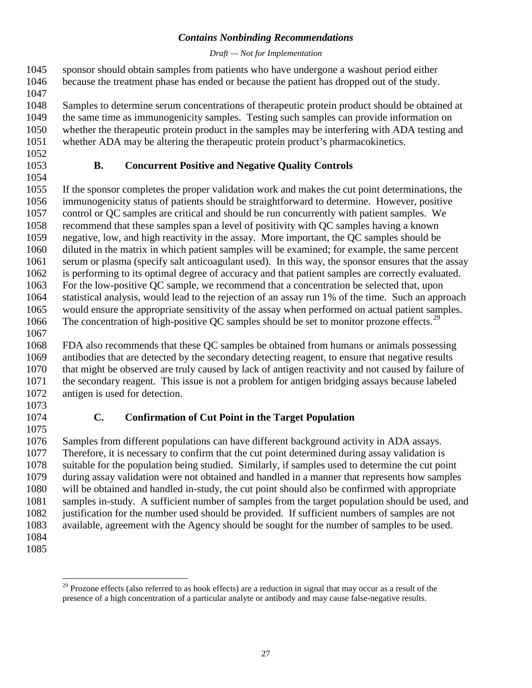*Draft — Not for Implementation*

 sponsor should obtain samples from patients who have undergone a washout period either because the treatment phase has ended or because the patient has dropped out of the study. 

 Samples to determine serum concentrations of therapeutic protein product should be obtained at the same time as immunogenicity samples. Testing such samples can provide information on whether the therapeutic protein product in the samples may be interfering with ADA testing and whether ADA may be altering the therapeutic protein product's pharmacokinetics.

- 
- 

### **B. Concurrent Positive and Negative Quality Controls**

 If the sponsor completes the proper validation work and makes the cut point determinations, the immunogenicity status of patients should be straightforward to determine. However, positive control or QC samples are critical and should be run concurrently with patient samples. We recommend that these samples span a level of positivity with QC samples having a known negative, low, and high reactivity in the assay. More important, the QC samples should be diluted in the matrix in which patient samples will be examined; for example, the same percent serum or plasma (specify salt anticoagulant used). In this way, the sponsor ensures that the assay is performing to its optimal degree of accuracy and that patient samples are correctly evaluated. For the low-positive QC sample, we recommend that a concentration be selected that, upon statistical analysis, would lead to the rejection of an assay run 1% of the time. Such an approach would ensure the appropriate sensitivity of the assay when performed on actual patient samples. 1066 The concentration of high-positive QC samples should be set to monitor prozone effects.<sup>[29](#page-30-0)</sup> 

 FDA also recommends that these QC samples be obtained from humans or animals possessing antibodies that are detected by the secondary detecting reagent, to ensure that negative results that might be observed are truly caused by lack of antigen reactivity and not caused by failure of the secondary reagent. This issue is not a problem for antigen bridging assays because labeled antigen is used for detection.

- 1073<br>1074
- 

## **C. Confirmation of Cut Point in the Target Population**

 Samples from different populations can have different background activity in ADA assays. Therefore, it is necessary to confirm that the cut point determined during assay validation is suitable for the population being studied. Similarly, if samples used to determine the cut point during assay validation were not obtained and handled in a manner that represents how samples will be obtained and handled in-study, the cut point should also be confirmed with appropriate samples in-study. A sufficient number of samples from the target population should be used, and justification for the number used should be provided. If sufficient numbers of samples are not available, agreement with the Agency should be sought for the number of samples to be used. 

<span id="page-30-0"></span><sup>&</sup>lt;sup>29</sup> Prozone effects (also referred to as hook effects) are a reduction in signal that may occur as a result of the presence of a high concentration of a particular analyte or antibody and may cause false-negative results.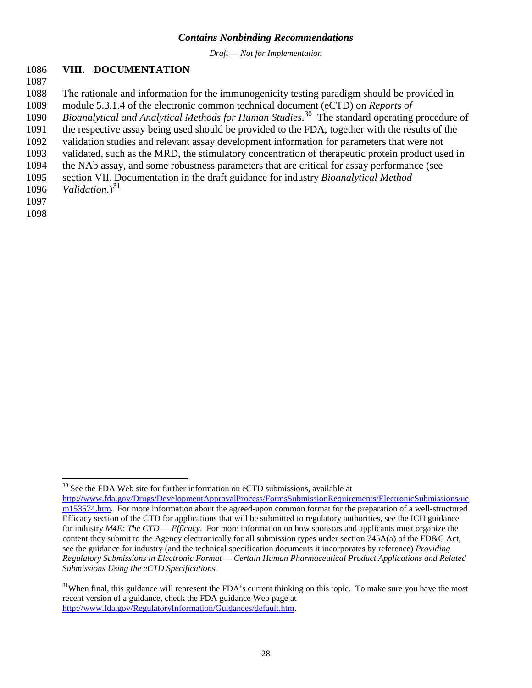*Draft — Not for Implementation*

#### 1086 **VIII. DOCUMENTATION**

- 1087
- 1088 The rationale and information for the immunogenicity testing paradigm should be provided in
- 1089 module 5.3.1.4 of the electronic common technical document (eCTD) on *Reports of*
- 1090 Bioanalytical and Analytical Methods for Human Studies.<sup>[30](#page-31-0)</sup> The standard operating procedure of
- 1091 the respective assay being used should be provided to the FDA, together with the results of the
- 1092 validation studies and relevant assay development information for parameters that were not
- 1093 validated, such as the MRD, the stimulatory concentration of therapeutic protein product used in
- 1094 the NAb assay, and some robustness parameters that are critical for assay performance (see
- 1095 section VII. Documentation in the draft guidance for industry *Bioanalytical Method*
- *Validation*.) [31](#page-31-1) 1096
- 1097
- 1098

<span id="page-31-0"></span> $30$  See the FDA Web site for further information on eCTD submissions, available at

[http://www.fda.gov/Drugs/DevelopmentApprovalProcess/FormsSubmissionRequirements/ElectronicSubmissions/uc](http://www.fda.gov/Drugs/DevelopmentApprovalProcess/FormsSubmissionRequirements/ElectronicSubmissions/ucm153574.htm) [m153574.htm.](http://www.fda.gov/Drugs/DevelopmentApprovalProcess/FormsSubmissionRequirements/ElectronicSubmissions/ucm153574.htm) For more information about the agreed-upon common format for the preparation of a well-structured Efficacy section of the CTD for applications that will be submitted to regulatory authorities, see the ICH guidance for industry *M4E: The CTD — Efficacy*. For more information on how sponsors and applicants must organize the content they submit to the Agency electronically for all submission types under section 745A(a) of the FD&C Act, see the guidance for industry (and the technical specification documents it incorporates by reference) *Providing Regulatory Submissions in Electronic Format — Certain Human Pharmaceutical Product Applications and Related Submissions Using the eCTD Specifications*.

<span id="page-31-1"></span> $31$ When final, this guidance will represent the FDA's current thinking on this topic. To make sure you have the most recent version of a guidance, check the FDA guidance Web page at [http://www.fda.gov/RegulatoryInformation/Guidances/default.htm.](http://www.fda.gov/RegulatoryInformation/Guidances/default.htm)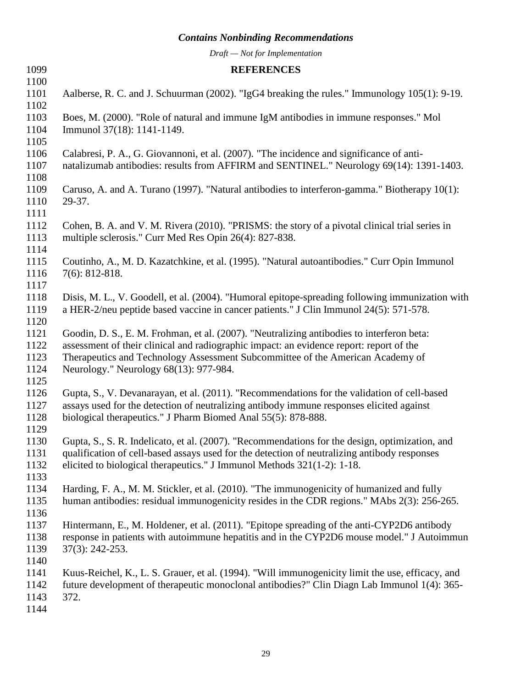*Draft — Not for Implementation*

| 1099                                 | <b>REFERENCES</b>                                                                                                                                                                                                                                                                                                |
|--------------------------------------|------------------------------------------------------------------------------------------------------------------------------------------------------------------------------------------------------------------------------------------------------------------------------------------------------------------|
| 1100<br>1101                         | Aalberse, R. C. and J. Schuurman (2002). "IgG4 breaking the rules." Immunology 105(1): 9-19.                                                                                                                                                                                                                     |
| 1102<br>1103<br>1104<br>1105         | Boes, M. (2000). "Role of natural and immune IgM antibodies in immune responses." Mol<br>Immunol 37(18): 1141-1149.                                                                                                                                                                                              |
| 1106<br>1107<br>1108                 | Calabresi, P. A., G. Giovannoni, et al. (2007). "The incidence and significance of anti-<br>natalizumab antibodies: results from AFFIRM and SENTINEL." Neurology 69(14): 1391-1403.                                                                                                                              |
| 1109<br>1110<br>1111                 | Caruso, A. and A. Turano (1997). "Natural antibodies to interferon-gamma." Biotherapy 10(1):<br>29-37.                                                                                                                                                                                                           |
| 1112<br>1113<br>1114                 | Cohen, B. A. and V. M. Rivera (2010). "PRISMS: the story of a pivotal clinical trial series in<br>multiple sclerosis." Curr Med Res Opin 26(4): 827-838.                                                                                                                                                         |
| 1115<br>1116<br>1117                 | Coutinho, A., M. D. Kazatchkine, et al. (1995). "Natural autoantibodies." Curr Opin Immunol<br>$7(6): 812-818.$                                                                                                                                                                                                  |
| 1118<br>1119<br>1120                 | Disis, M. L., V. Goodell, et al. (2004). "Humoral epitope-spreading following immunization with<br>a HER-2/neu peptide based vaccine in cancer patients." J Clin Immunol 24(5): 571-578.                                                                                                                         |
| 1121<br>1122<br>1123<br>1124<br>1125 | Goodin, D. S., E. M. Frohman, et al. (2007). "Neutralizing antibodies to interferon beta:<br>assessment of their clinical and radiographic impact: an evidence report: report of the<br>Therapeutics and Technology Assessment Subcommittee of the American Academy of<br>Neurology." Neurology 68(13): 977-984. |
| 1126<br>1127<br>1128<br>1129         | Gupta, S., V. Devanarayan, et al. (2011). "Recommendations for the validation of cell-based<br>assays used for the detection of neutralizing antibody immune responses elicited against<br>biological therapeutics." J Pharm Biomed Anal 55(5): 878-888.                                                         |
| 1130<br>1131<br>1132<br>1133         | Gupta, S., S. R. Indelicato, et al. (2007). "Recommendations for the design, optimization, and<br>qualification of cell-based assays used for the detection of neutralizing antibody responses<br>elicited to biological therapeutics." J Immunol Methods 321(1-2): 1-18.                                        |
| 1134<br>1135<br>1136                 | Harding, F. A., M. M. Stickler, et al. (2010). "The immunogenicity of humanized and fully<br>human antibodies: residual immunogenicity resides in the CDR regions." MAbs 2(3): 256-265.                                                                                                                          |
| 1137<br>1138<br>1139<br>1140         | Hintermann, E., M. Holdener, et al. (2011). "Epitope spreading of the anti-CYP2D6 antibody<br>response in patients with autoimmune hepatitis and in the CYP2D6 mouse model." J Autoimmun<br>$37(3): 242 - 253.$                                                                                                  |
| 1141<br>1142<br>1143<br>111A         | Kuus-Reichel, K., L. S. Grauer, et al. (1994). "Will immunogenicity limit the use, efficacy, and<br>future development of therapeutic monoclonal antibodies?" Clin Diagn Lab Immunol 1(4): 365-<br>372.                                                                                                          |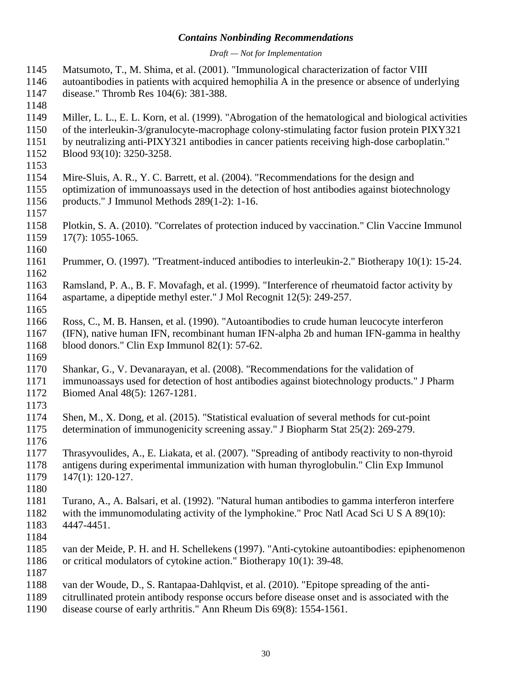#### *Draft — Not for Implementation*

- Matsumoto, T., M. Shima, et al. (2001). "Immunological characterization of factor VIII autoantibodies in patients with acquired hemophilia A in the presence or absence of underlying disease." Thromb Res 104(6): 381-388. Miller, L. L., E. L. Korn, et al. (1999). "Abrogation of the hematological and biological activities of the interleukin-3/granulocyte-macrophage colony-stimulating factor fusion protein PIXY321 by neutralizing anti-PIXY321 antibodies in cancer patients receiving high-dose carboplatin." Blood 93(10): 3250-3258. Mire-Sluis, A. R., Y. C. Barrett, et al. (2004). "Recommendations for the design and optimization of immunoassays used in the detection of host antibodies against biotechnology products." J Immunol Methods 289(1-2): 1-16. Plotkin, S. A. (2010). "Correlates of protection induced by vaccination." Clin Vaccine Immunol 17(7): 1055-1065. Prummer, O. (1997). "Treatment-induced antibodies to interleukin-2." Biotherapy 10(1): 15-24. Ramsland, P. A., B. F. Movafagh, et al. (1999). "Interference of rheumatoid factor activity by aspartame, a dipeptide methyl ester." J Mol Recognit 12(5): 249-257. Ross, C., M. B. Hansen, et al. (1990). "Autoantibodies to crude human leucocyte interferon (IFN), native human IFN, recombinant human IFN-alpha 2b and human IFN-gamma in healthy blood donors." Clin Exp Immunol 82(1): 57-62. Shankar, G., V. Devanarayan, et al. (2008). "Recommendations for the validation of immunoassays used for detection of host antibodies against biotechnology products." J Pharm Biomed Anal 48(5): 1267-1281. 1173<br>1174 Shen, M., X. Dong, et al. (2015). "Statistical evaluation of several methods for cut-point determination of immunogenicity screening assay." J Biopharm Stat 25(2): 269-279. Thrasyvoulides, A., E. Liakata, et al. (2007). "Spreading of antibody reactivity to non-thyroid antigens during experimental immunization with human thyroglobulin." Clin Exp Immunol 147(1): 120-127. Turano, A., A. Balsari, et al. (1992). "Natural human antibodies to gamma interferon interfere with the immunomodulating activity of the lymphokine." Proc Natl Acad Sci U S A 89(10): 4447-4451. van der Meide, P. H. and H. Schellekens (1997). "Anti-cytokine autoantibodies: epiphenomenon or critical modulators of cytokine action." Biotherapy 10(1): 39-48. van der Woude, D., S. Rantapaa-Dahlqvist, et al. (2010). "Epitope spreading of the anti-
- citrullinated protein antibody response occurs before disease onset and is associated with the